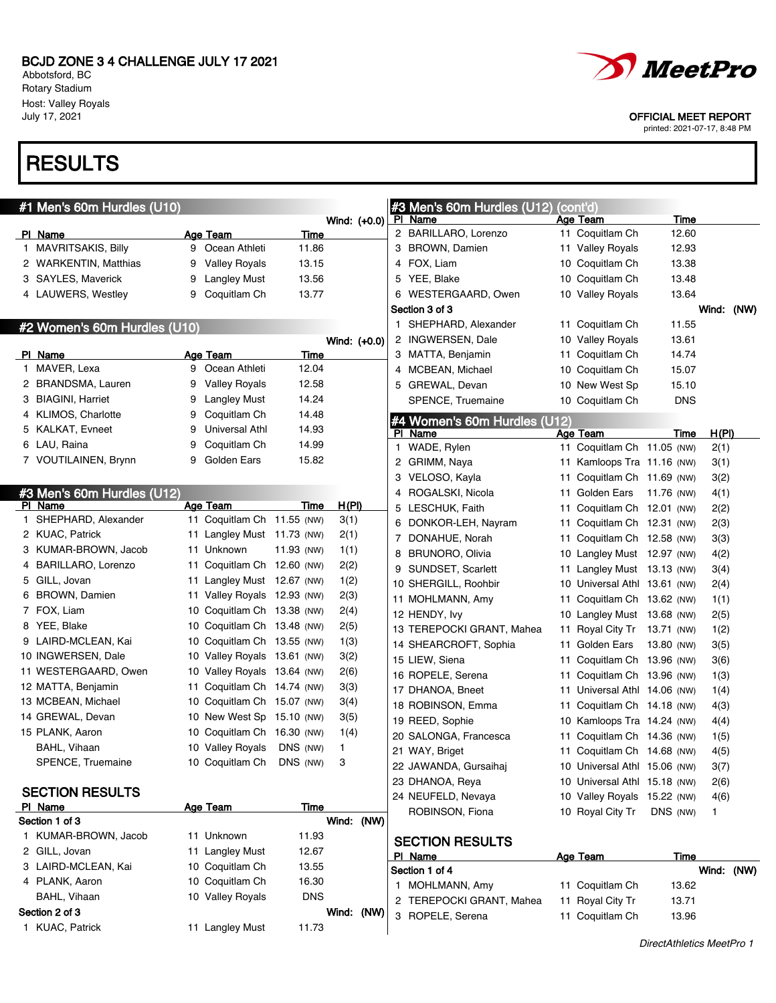Abbotsford, BC Rotary Stadium Host: Valley Royals<br>July 17, 2021

# **RESULTS**

| #1 Men's 60m Hurdles (U10)      |    |                             |             |       |              |   | #3 Men's 60m Hurdles (U12)              |    | (cont'd)                           |               |              |  |
|---------------------------------|----|-----------------------------|-------------|-------|--------------|---|-----------------------------------------|----|------------------------------------|---------------|--------------|--|
|                                 |    |                             | <b>Time</b> |       | Wind: (+0.0) |   | PI Name<br>2 BARILLARO, Lorenzo         |    | <b>Age Team</b><br>11 Coquitlam Ch | Time<br>12.60 |              |  |
| PI Name<br>1 MAVRITSAKIS, Billy | 9  | Age Team<br>Ocean Athleti   | 11.86       |       |              |   | 3 BROWN, Damien                         |    | 11 Valley Royals                   | 12.93         |              |  |
| 2 WARKENTIN, Matthias           | 9  | <b>Valley Royals</b>        | 13.15       |       |              |   | 4 FOX, Liam                             |    | 10 Coquitlam Ch                    | 13.38         |              |  |
| 3 SAYLES, Maverick              | 9  | Langley Must                | 13.56       |       |              |   | 5 YEE, Blake                            |    | 10 Coquitlam Ch                    | 13.48         |              |  |
| 4 LAUWERS, Westley              | 9  | Coquitlam Ch                | 13.77       |       |              |   | 6 WESTERGAARD, Owen                     |    | 10 Valley Royals                   | 13.64         |              |  |
|                                 |    |                             |             |       |              |   | Section 3 of 3                          |    |                                    |               | Wind: (NW)   |  |
|                                 |    |                             |             |       |              |   | 1 SHEPHARD, Alexander                   |    | 11 Coquitlam Ch                    | 11.55         |              |  |
| #2 Women's 60m Hurdles (U10)    |    |                             |             |       | Wind: (+0.0) |   | 2 INGWERSEN, Dale                       |    | 10 Valley Royals                   | 13.61         |              |  |
| PI Name                         |    | <b>Age Team</b>             | Time        |       |              |   | 3 MATTA, Benjamin                       |    | 11 Coquitlam Ch                    | 14.74         |              |  |
| 1 MAVER, Lexa                   | 9  | Ocean Athleti               | 12.04       |       |              |   | 4 MCBEAN, Michael                       |    | 10 Coquitlam Ch                    | 15.07         |              |  |
| 2 BRANDSMA, Lauren              | 9  | <b>Valley Royals</b>        | 12.58       |       |              |   | 5 GREWAL, Devan                         |    | 10 New West Sp                     | 15.10         |              |  |
| 3 BIAGINI, Harriet              | 9  | Langley Must                | 14.24       |       |              |   | SPENCE, Truemaine                       |    | 10 Coquitlam Ch                    | <b>DNS</b>    |              |  |
| 4 KLIMOS, Charlotte             | 9  | Coquitlam Ch                | 14.48       |       |              |   |                                         |    |                                    |               |              |  |
| 5 KALKAT, Evneet                | 9  | Universal Athl              | 14.93       |       |              |   | #4 Women's 60m Hurdles (U12)<br>PI Name |    | Age Team                           | Time          | <u>H(PI)</u> |  |
| 6 LAU, Raina                    | 9  | Coquitlam Ch                | 14.99       |       |              |   | 1 WADE, Rylen                           |    | 11 Coquitlam Ch 11.05 (NW)         |               | 2(1)         |  |
| 7 VOUTILAINEN, Brynn            | 9  | Golden Ears                 | 15.82       |       |              |   | 2 GRIMM, Naya                           |    | 11 Kamloops Tra 11.16 (NW)         |               | 3(1)         |  |
|                                 |    |                             |             |       |              |   | 3 VELOSO, Kayla                         | 11 | Coquitlam Ch 11.69 (NW)            |               | 3(2)         |  |
| #3 Men's 60m Hurdles (U12)      |    |                             |             |       |              | 4 | ROGALSKI, Nicola                        | 11 | Golden Ears                        | 11.76 (NW)    | 4(1)         |  |
| PI Name                         |    | Age Team                    | Time        | H(PI) |              |   | 5 LESCHUK, Faith                        |    | 11 Coquitlam Ch 12.01 (NW)         |               | 2(2)         |  |
| 1 SHEPHARD, Alexander           |    | 11 Coquitlam Ch 11.55 (NW)  |             | 3(1)  |              | 6 | DONKOR-LEH, Nayram                      |    | 11 Coquitlam Ch 12.31 (NW)         |               | 2(3)         |  |
| 2 KUAC, Patrick                 |    | 11 Langley Must 11.73 (NW)  |             | 2(1)  |              |   | 7 DONAHUE, Norah                        |    | 11 Coquitlam Ch 12.58 (NW)         |               | 3(3)         |  |
| 3 KUMAR-BROWN, Jacob            |    | 11 Unknown                  | 11.93 (NW)  | 1(1)  |              | 8 | <b>BRUNORO, Olivia</b>                  |    | 10 Langley Must 12.97 (NW)         |               | 4(2)         |  |
| 4 BARILLARO, Lorenzo            | 11 | Coquitlam Ch 12.60 (NW)     |             | 2(2)  |              |   | 9 SUNDSET, Scarlett                     |    | 11 Langley Must 13.13 (NW)         |               | 3(4)         |  |
| 5 GILL, Jovan                   | 11 | Langley Must 12.67 (NW)     |             | 1(2)  |              |   | 10 SHERGILL, Roohbir                    |    | 10 Universal Athl 13.61 (NW)       |               | 2(4)         |  |
| 6 BROWN, Damien                 | 11 | Valley Royals 12.93 (NW)    |             | 2(3)  |              |   | 11 MOHLMANN, Amy                        |    | 11 Coquitlam Ch 13.62 (NW)         |               | 1(1)         |  |
| 7 FOX, Liam                     |    | 10 Coquitlam Ch 13.38 (NW)  |             | 2(4)  |              |   | 12 HENDY, Ivy                           |    | 10 Langley Must 13.68 (NW)         |               | 2(5)         |  |
| 8 YEE, Blake                    |    | 10 Coquitlam Ch 13.48 (NW)  |             | 2(5)  |              |   | 13 TEREPOCKI GRANT, Mahea               |    | 11 Royal City Tr 13.71 (NW)        |               | 1(2)         |  |
| 9 LAIRD-MCLEAN, Kai             |    | 10 Coquitlam Ch 13.55 (NW)  |             | 1(3)  |              |   | 14 SHEARCROFT, Sophia                   | 11 | Golden Ears                        | 13.80 (NW)    | 3(5)         |  |
| 10 INGWERSEN, Dale              |    | 10 Valley Royals 13.61 (NW) |             | 3(2)  |              |   | 15 LIEW, Siena                          | 11 | Coquitlam Ch 13.96 (NW)            |               | 3(6)         |  |
| 11 WESTERGAARD, Owen            |    | 10 Valley Royals 13.64 (NW) |             | 2(6)  |              |   | 16 ROPELE, Serena                       | 11 | Coquitlam Ch 13.96 (NW)            |               | 1(3)         |  |
| 12 MATTA, Benjamin              | 11 | Coquitlam Ch 14.74 (NW)     |             | 3(3)  |              |   | 17 DHANOA, Bneet                        | 11 | Universal Athl 14.06 (NW)          |               | 1(4)         |  |
| 13 MCBEAN, Michael              |    | 10 Coquitlam Ch 15.07 (NW)  |             | 3(4)  |              |   | 18 ROBINSON, Emma                       | 11 | Coquitlam Ch 14.18 (NW)            |               | 4(3)         |  |
| 14 GREWAL, Devan                |    | 10 New West Sp 15.10 (NW)   |             | 3(5)  |              |   | 19 REED, Sophie                         | 10 | Kamloops Tra 14.24 (NW)            |               | 4(4)         |  |
| 15 PLANK, Aaron                 | 10 | Coquitlam Ch 16.30 (NW)     |             | 1(4)  |              |   | 20 SALONGA, Francesca                   | 11 | Coquitlam Ch 14.36 (NW)            |               | 1(5)         |  |
| BAHL, Vihaan                    |    | 10 Valley Royals            | DNS (NW)    | 1     |              |   | 21 WAY, Briget                          |    | 11 Coquitlam Ch 14.68 (NW)         |               | 4(5)         |  |
| SPENCE, Truemaine               |    | 10 Coquitlam Ch DNS (NW)    |             | 3     |              |   | 22 JAWANDA, Gursaihaj                   |    | 10 Universal Athl 15.06 (NW)       |               | 3(7)         |  |
|                                 |    |                             |             |       |              |   | 23 DHANOA, Reya                         |    | 10 Universal Athl 15.18 (NW)       |               | 2(6)         |  |
| <b>SECTION RESULTS</b>          |    |                             |             |       |              |   | 24 NEUFELD, Nevaya                      |    | 10 Valley Royals 15.22 (NW)        |               | 4(6)         |  |
| PI Name                         |    | <b>Age Team</b>             | Time        |       |              |   | ROBINSON, Fiona                         |    | 10 Royal City Tr                   | DNS (NW)      | 1.           |  |
| Section 1 of 3                  |    |                             |             |       | Wind: (NW)   |   |                                         |    |                                    |               |              |  |
| 1 KUMAR-BROWN, Jacob            |    | 11 Unknown                  | 11.93       |       |              |   | <b>SECTION RESULTS</b>                  |    |                                    |               |              |  |
| 2 GILL, Jovan                   |    | 11 Langley Must             | 12.67       |       |              |   | PI Name                                 |    | Age Team                           | Time          |              |  |
| 3 LAIRD-MCLEAN, Kai             |    | 10 Coquitlam Ch             | 13.55       |       |              |   | Section 1 of 4                          |    |                                    |               | Wind: (NW)   |  |
| 4 PLANK, Aaron                  |    | 10 Coquitlam Ch             | 16.30       |       |              |   | 1 MOHLMANN, Amy                         |    | 11 Coquitlam Ch                    | 13.62         |              |  |
| BAHL, Vihaan                    |    | 10 Valley Royals            | <b>DNS</b>  |       |              |   | 2 TEREPOCKI GRANT, Mahea                |    | 11 Royal City Tr                   | 13.71         |              |  |
| Section 2 of 3                  |    |                             |             |       | Wind: (NW)   |   | 3 ROPELE, Serena                        |    | 11 Coquitlam Ch                    | 13.96         |              |  |
| 1 KUAC, Patrick                 |    | 11 Langley Must             | 11.73       |       |              |   |                                         |    |                                    |               |              |  |



#### OFFICIAL MEET REPORT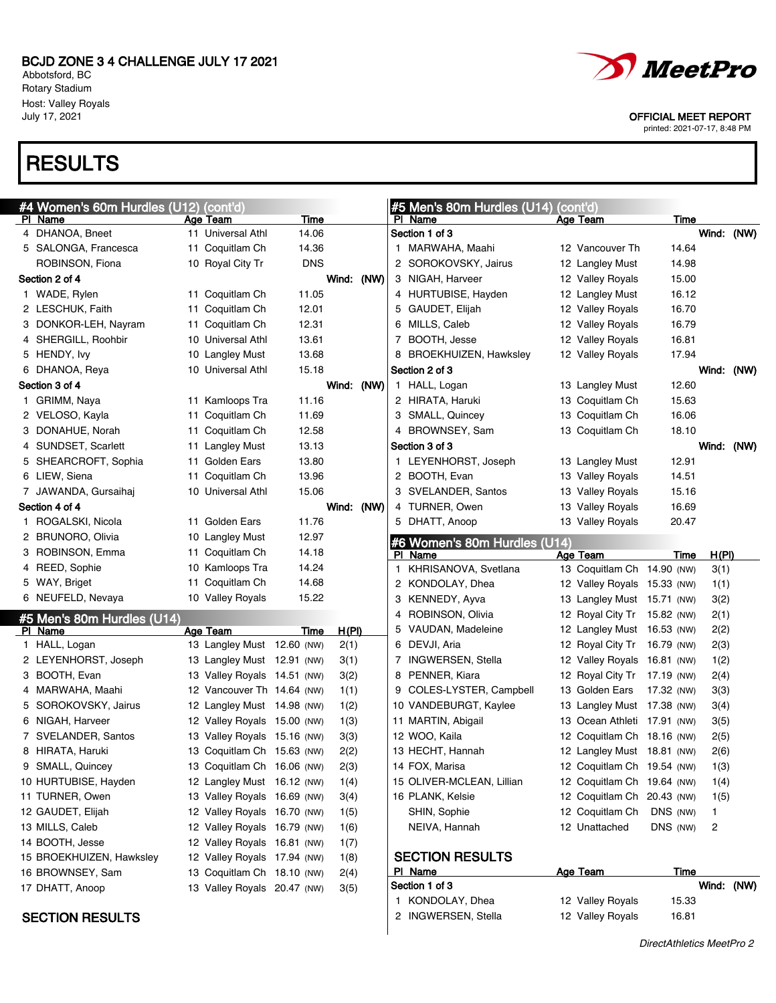Abbotsford, BC Rotary Stadium Host: Valley Royals

# **RESULTS**





July 17, 2021 OFFICIAL MEET REPORT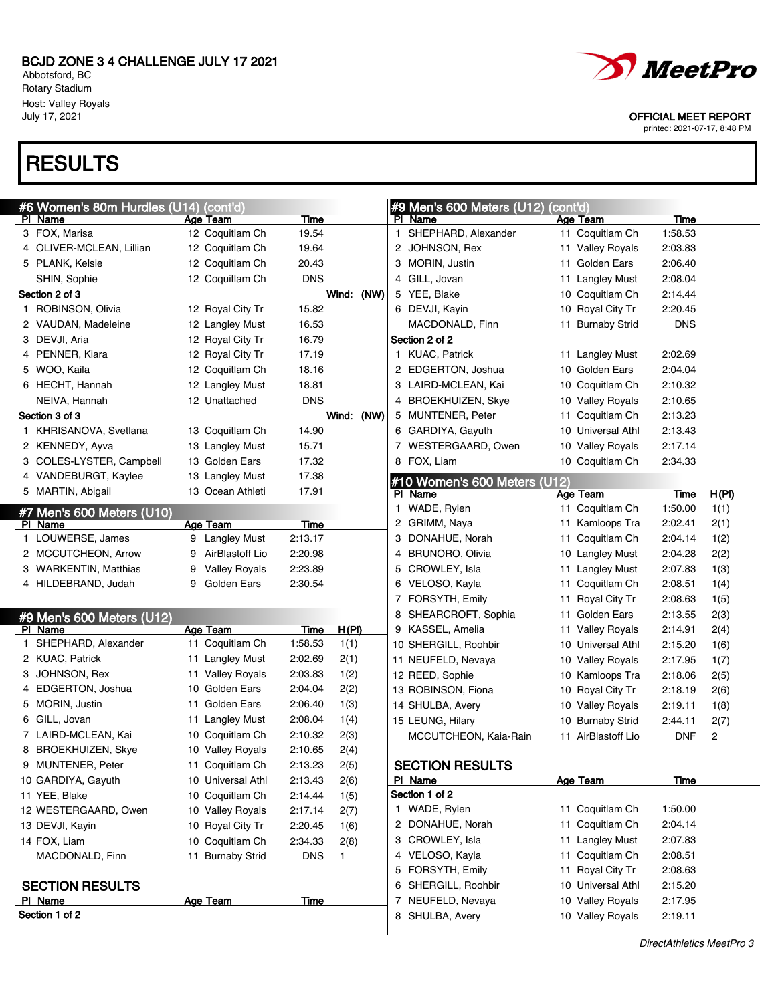Abbotsford, BC Rotary Stadium Host: Valley Royals<br>July 17, 2021

# **RESULTS**



OFFICIAL MEET REPORT

| #6 Women's 80m Hurdles (U14) |    | (cont' <u>d)</u>     |             |            |    | #9 Men's 600 Meters (U12)    | (cont'd) |                    |            |              |
|------------------------------|----|----------------------|-------------|------------|----|------------------------------|----------|--------------------|------------|--------------|
| PI Name                      |    | Age Team             | Time        |            |    | PI Name                      |          | Age Team           | Time       |              |
| 3 FOX, Marisa                |    | 12 Coquitlam Ch      | 19.54       |            |    | 1 SHEPHARD, Alexander        |          | 11 Coquitlam Ch    | 1:58.53    |              |
| 4 OLIVER-MCLEAN, Lillian     |    | 12 Coquitlam Ch      | 19.64       |            |    | 2 JOHNSON, Rex               |          | 11 Valley Royals   | 2:03.83    |              |
| 5 PLANK, Kelsie              |    | 12 Coquitlam Ch      | 20.43       |            |    | 3 MORIN, Justin              |          | 11 Golden Ears     | 2:06.40    |              |
| SHIN, Sophie                 |    | 12 Coquitlam Ch      | <b>DNS</b>  |            |    | 4 GILL, Jovan                |          | 11 Langley Must    | 2:08.04    |              |
| Section 2 of 3               |    |                      |             | Wind: (NW) |    | 5 YEE, Blake                 |          | 10 Coquitlam Ch    | 2:14.44    |              |
| 1 ROBINSON, Olivia           |    | 12 Royal City Tr     | 15.82       |            |    | 6 DEVJI, Kayin               |          | 10 Royal City Tr   | 2:20.45    |              |
| 2 VAUDAN, Madeleine          |    | 12 Langley Must      | 16.53       |            |    | MACDONALD, Finn              |          | 11 Burnaby Strid   | <b>DNS</b> |              |
| 3 DEVJI, Aria                |    | 12 Royal City Tr     | 16.79       |            |    | Section 2 of 2               |          |                    |            |              |
| 4 PENNER, Kiara              |    | 12 Royal City Tr     | 17.19       |            | 1. | <b>KUAC, Patrick</b>         |          | 11 Langley Must    | 2:02.69    |              |
| 5 WOO, Kaila                 |    | 12 Coquitlam Ch      | 18.16       |            |    | 2 EDGERTON, Joshua           |          | 10 Golden Ears     | 2:04.04    |              |
| 6 HECHT, Hannah              |    | 12 Langley Must      | 18.81       |            |    | 3 LAIRD-MCLEAN, Kai          |          | 10 Coquitlam Ch    | 2:10.32    |              |
| NEIVA, Hannah                |    | 12 Unattached        | <b>DNS</b>  |            |    | 4 BROEKHUIZEN, Skye          |          | 10 Valley Royals   | 2:10.65    |              |
| Section 3 of 3               |    |                      |             | Wind: (NW) |    | 5 MUNTENER, Peter            |          | 11 Coquitlam Ch    | 2:13.23    |              |
| 1 KHRISANOVA, Svetlana       |    | 13 Coquitlam Ch      | 14.90       |            |    | 6 GARDIYA, Gayuth            |          | 10 Universal Athl  | 2:13.43    |              |
| 2 KENNEDY, Ayva              |    | 13 Langley Must      | 15.71       |            |    | 7 WESTERGAARD, Owen          |          | 10 Valley Royals   | 2:17.14    |              |
| 3 COLES-LYSTER, Campbell     |    | 13 Golden Ears       | 17.32       |            |    | 8 FOX, Liam                  |          | 10 Coquitlam Ch    | 2:34.33    |              |
| 4 VANDEBURGT, Kaylee         |    | 13 Langley Must      | 17.38       |            |    | #10 Women's 600 Meters (U12) |          |                    |            |              |
| 5 MARTIN, Abigail            |    | 13 Ocean Athleti     | 17.91       |            |    | PI Name                      |          | Age Team           | Time       | <u>H(PI)</u> |
| #7 Men's 600 Meters (U10)    |    |                      |             |            | 1. | WADE, Rylen                  |          | 11 Coquitlam Ch    | 1:50.00    | 1(1)         |
| PI Name                      |    | Age Team             | Time        |            |    | 2 GRIMM, Naya                |          | 11 Kamloops Tra    | 2:02.41    | 2(1)         |
| 1 LOUWERSE, James            |    | 9 Langley Must       | 2:13.17     |            |    | 3 DONAHUE, Norah             |          | 11 Coquitlam Ch    | 2:04.14    | 1(2)         |
| 2 MCCUTCHEON, Arrow          | 9  | AirBlastoff Lio      | 2:20.98     |            |    | 4 BRUNORO, Olivia            |          | 10 Langley Must    | 2:04.28    | 2(2)         |
| 3 WARKENTIN, Matthias        | 9  | <b>Valley Royals</b> | 2:23.89     |            |    | 5 CROWLEY, Isla              |          | 11 Langley Must    | 2:07.83    | 1(3)         |
| 4 HILDEBRAND, Judah          | 9  | Golden Ears          | 2:30.54     |            |    | 6 VELOSO, Kayla              |          | 11 Coquitlam Ch    | 2:08.51    | 1(4)         |
|                              |    |                      |             |            |    | 7 FORSYTH, Emily             |          | 11 Royal City Tr   | 2:08.63    | 1(5)         |
| #9 Men's 600 Meters (U12)    |    |                      |             |            |    | 8 SHEARCROFT, Sophia         |          | 11 Golden Ears     | 2:13.55    | 2(3)         |
| PI Name                      |    | <b>Age Team</b>      | <b>Time</b> | H(PI)      |    | 9 KASSEL, Amelia             |          | 11 Valley Royals   | 2:14.91    | 2(4)         |
| SHEPHARD, Alexander          |    | 11 Coquitlam Ch      | 1:58.53     | 1(1)       |    | 10 SHERGILL, Roohbir         |          | 10 Universal Athl  | 2:15.20    | 1(6)         |
| 2 KUAC, Patrick              |    | 11 Langley Must      | 2:02.69     | 2(1)       |    | 11 NEUFELD, Nevaya           |          | 10 Valley Royals   | 2:17.95    | 1(7)         |
| 3 JOHNSON, Rex               |    | 11 Valley Royals     | 2:03.83     | 1(2)       |    | 12 REED, Sophie              |          | 10 Kamloops Tra    | 2:18.06    | 2(5)         |
| 4 EDGERTON, Joshua           | 10 | Golden Ears          | 2:04.04     | 2(2)       |    | 13 ROBINSON, Fiona           |          | 10 Royal City Tr   | 2:18.19    | 2(6)         |
| 5 MORIN, Justin              | 11 | Golden Ears          | 2:06.40     | 1(3)       |    | 14 SHULBA, Avery             |          | 10 Valley Royals   | 2:19.11    | 1(8)         |
| 6 GILL, Jovan                |    | 11 Langley Must      | 2:08.04     | 1(4)       |    | 15 LEUNG, Hilary             |          | 10 Burnaby Strid   | 2:44.11    | 2(7)         |
| 7 LAIRD-MCLEAN, Kai          | 10 | Coquitlam Ch         | 2:10.32     | 2(3)       |    | MCCUTCHEON, Kaia-Rain        |          | 11 AirBlastoff Lio | <b>DNF</b> | 2            |
| 8 BROEKHUIZEN, Skye          | 10 | <b>Valley Royals</b> | 2:10.65     | 2(4)       |    |                              |          |                    |            |              |
| 9 MUNTENER, Peter            |    | 11 Coquitlam Ch      | 2:13.23     | 2(5)       |    | <b>SECTION RESULTS</b>       |          |                    |            |              |
| 10 GARDIYA, Gayuth           |    | 10 Universal Athl    | 2:13.43     | 2(6)       |    | PI Name                      |          | Age Team           | Time       |              |
| 11 YEE, Blake                | 10 | Coquitlam Ch         | 2:14.44     | 1(5)       |    | Section 1 of 2               |          |                    |            |              |
| 12 WESTERGAARD, Owen         |    | 10 Valley Royals     | 2:17.14     | 2(7)       |    | 1 WADE, Rylen                |          | 11 Coquitlam Ch    | 1:50.00    |              |
| 13 DEVJI, Kayin              |    | 10 Royal City Tr     | 2:20.45     | 1(6)       |    | 2 DONAHUE, Norah             |          | 11 Coquitlam Ch    | 2:04.14    |              |
| 14 FOX, Liam                 |    | 10 Coquitlam Ch      | 2:34.33     | 2(8)       |    | 3 CROWLEY, Isla              |          | 11 Langley Must    | 2:07.83    |              |
| MACDONALD, Finn              |    | 11 Burnaby Strid     | <b>DNS</b>  | 1          |    | 4 VELOSO, Kayla              |          | 11 Coquitlam Ch    | 2:08.51    |              |
|                              |    |                      |             |            |    | 5 FORSYTH, Emily             |          | 11 Royal City Tr   | 2:08.63    |              |
| <b>SECTION RESULTS</b>       |    |                      |             |            |    | 6 SHERGILL, Roohbir          |          | 10 Universal Athl  | 2:15.20    |              |
| PI Name                      |    | <b>Age Team</b>      | <u>Time</u> |            |    | 7 NEUFELD, Nevaya            |          | 10 Valley Royals   | 2:17.95    |              |
| Section 1 of 2               |    |                      |             |            |    | 8 SHULBA, Avery              |          | 10 Valley Royals   | 2:19.11    |              |
|                              |    |                      |             |            |    |                              |          |                    |            |              |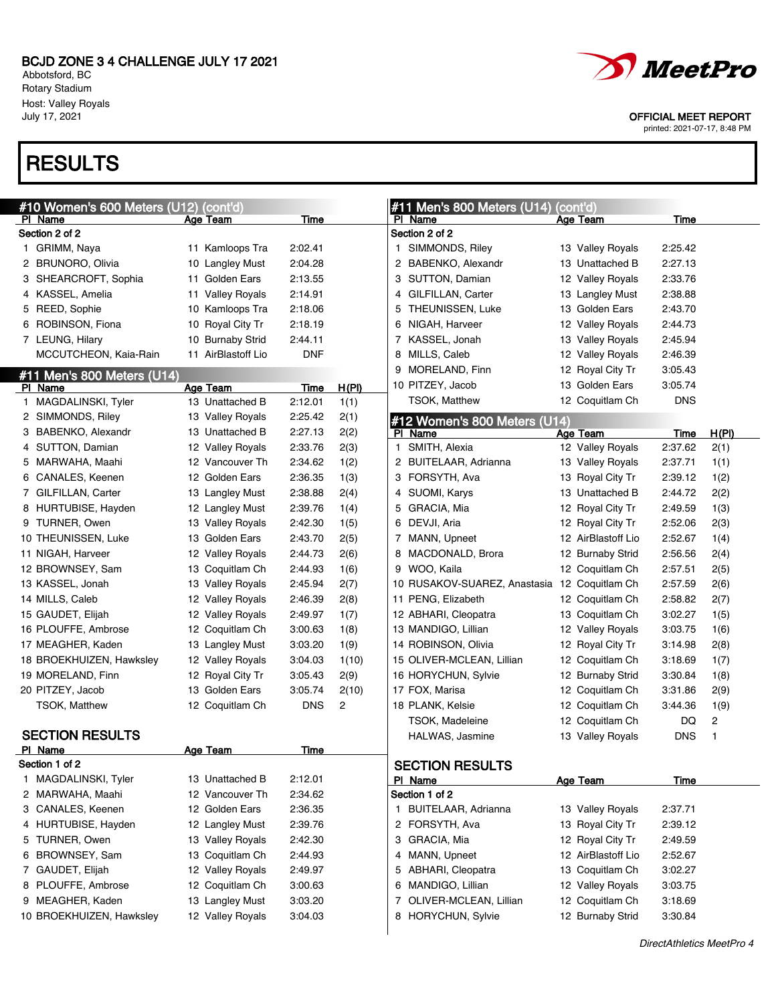Abbotsford, BC Rotary Stadium Host: Valley Royals<br>July 17, 2021

# **RESULTS**

| #10 Women's 600 Meters (U12) (cont'd)<br>PI Name | <b>Age Team</b>             | <b>Time</b>     |       | #11 Men's 800 Meters (U14)<br>PI Name        | (cont'd)<br><b>Age Team</b> | Time        |       |
|--------------------------------------------------|-----------------------------|-----------------|-------|----------------------------------------------|-----------------------------|-------------|-------|
| Section 2 of 2                                   |                             |                 |       | Section 2 of 2                               |                             |             |       |
| 1 GRIMM, Naya                                    | 11 Kamloops Tra             | 2:02.41         |       | 1 SIMMONDS, Riley                            | 13 Valley Royals            | 2:25.42     |       |
| 2 BRUNORO, Olivia                                | <b>Langley Must</b><br>10   | 2:04.28         |       | 2 BABENKO, Alexandr                          | 13 Unattached B             | 2:27.13     |       |
| 3 SHEARCROFT, Sophia                             | 11 Golden Ears              | 2:13.55         |       | 3 SUTTON, Damian                             | 12 Valley Royals            | 2:33.76     |       |
| 4 KASSEL, Amelia                                 | <b>Valley Royals</b><br>11  | 2:14.91         |       | 4 GILFILLAN, Carter                          | 13 Langley Must             | 2:38.88     |       |
| 5 REED, Sophie                                   | Kamloops Tra<br>10          | 2:18.06         |       | 5 THEUNISSEN, Luke                           | 13 Golden Ears              | 2:43.70     |       |
| 6 ROBINSON, Fiona                                | Royal City Tr<br>10         | 2:18.19         |       | NIGAH, Harveer<br>6                          | 12 Valley Royals            | 2:44.73     |       |
| 7 LEUNG, Hilary                                  | <b>Burnaby Strid</b><br>10  | 2:44.11         |       | 7 KASSEL, Jonah                              | 13 Valley Royals            | 2:45.94     |       |
| MCCUTCHEON, Kaia-Rain                            | AirBlastoff Lio<br>11       | <b>DNF</b>      |       | 8 MILLS, Caleb                               | 12 Valley Royals            | 2:46.39     |       |
|                                                  |                             |                 |       | 9 MORELAND, Finn                             | 12 Royal City Tr            | 3:05.43     |       |
| #11 Men's 800 Meters (U14)                       |                             |                 |       | 10 PITZEY, Jacob                             | 13 Golden Ears              | 3:05.74     |       |
| PI Name                                          | Age Team<br>13 Unattached B | Time<br>2:12.01 | H(PI) | TSOK, Matthew                                | 12 Coquitlam Ch             | <b>DNS</b>  |       |
| 1 MAGDALINSKI, Tyler                             |                             |                 | 1(1)  |                                              |                             |             |       |
| 2 SIMMONDS, Riley<br>3 BABENKO, Alexandr         | 13 Valley Royals            | 2:25.42         | 2(1)  | #12 Women's 800 Meters (U14)                 |                             |             |       |
|                                                  | 13 Unattached B             | 2:27.13         | 2(2)  | PI Name                                      | Age Team                    | Time        | H(PI) |
| 4 SUTTON, Damian                                 | 12 Valley Royals            | 2:33.76         | 2(3)  | 1 SMITH, Alexia                              | 12 Valley Royals            | 2:37.62     | 2(1)  |
| 5 MARWAHA, Maahi                                 | 12 Vancouver Th             | 2:34.62         | 1(2)  | 2 BUITELAAR, Adrianna                        | 13 Valley Royals            | 2:37.71     | 1(1)  |
| 6 CANALES, Keenen                                | 12 Golden Ears              | 2:36.35         | 1(3)  | 3 FORSYTH, Ava                               | 13 Royal City Tr            | 2:39.12     | 1(2)  |
| 7 GILFILLAN, Carter                              | 13 Langley Must             | 2:38.88         | 2(4)  | 4 SUOMI, Karys                               | Unattached B<br>13          | 2:44.72     | 2(2)  |
| 8 HURTUBISE, Hayden                              | 12 Langley Must             | 2:39.76         | 1(4)  | 5 GRACIA, Mia                                | 12 Royal City Tr            | 2:49.59     | 1(3)  |
| 9 TURNER, Owen                                   | 13 Valley Royals            | 2:42.30         | 1(5)  | 6 DEVJI, Aria                                | 12 Royal City Tr            | 2:52.06     | 2(3)  |
| 10 THEUNISSEN, Luke                              | 13 Golden Ears              | 2:43.70         | 2(5)  | 7 MANN, Upneet                               | 12 AirBlastoff Lio          | 2:52.67     | 1(4)  |
| 11 NIGAH, Harveer                                | 12 Valley Royals            | 2:44.73         | 2(6)  | 8 MACDONALD, Brora                           | 12 Burnaby Strid            | 2:56.56     | 2(4)  |
| 12 BROWNSEY, Sam                                 | 13 Coquitlam Ch             | 2:44.93         | 1(6)  | 9 WOO, Kaila                                 | 12 Coquitlam Ch             | 2:57.51     | 2(5)  |
| 13 KASSEL, Jonah                                 | 13 Valley Royals            | 2:45.94         | 2(7)  | 10 RUSAKOV-SUAREZ, Anastasia 12 Coquitlam Ch |                             | 2:57.59     | 2(6)  |
| 14 MILLS, Caleb                                  | 12 Valley Royals            | 2:46.39         | 2(8)  | 11 PENG, Elizabeth                           | 12 Coquitlam Ch             | 2:58.82     | 2(7)  |
| 15 GAUDET, Elijah                                | 12 Valley Royals            | 2:49.97         | 1(7)  | 12 ABHARI, Cleopatra                         | 13 Coquitlam Ch             | 3:02.27     | 1(5)  |
| 16 PLOUFFE, Ambrose                              | 12 Coquitlam Ch             | 3:00.63         | 1(8)  | 13 MANDIGO, Lillian                          | 12 Valley Royals            | 3:03.75     | 1(6)  |
| 17 MEAGHER, Kaden                                | 13 Langley Must             | 3:03.20         | 1(9)  | 14 ROBINSON, Olivia                          | 12 Royal City Tr            | 3:14.98     | 2(8)  |
| 18 BROEKHUIZEN, Hawksley                         | 12 Valley Royals            | 3:04.03         | 1(10) | 15 OLIVER-MCLEAN, Lillian                    | 12 Coquitlam Ch             | 3:18.69     | 1(7)  |
| 19 MORELAND, Finn                                | 12 Royal City Tr            | 3:05.43         | 2(9)  | 16 HORYCHUN, Sylvie                          | 12 Burnaby Strid            | 3:30.84     | 1(8)  |
| 20 PITZEY, Jacob                                 | 13 Golden Ears              | 3:05.74         | 2(10) | 17 FOX, Marisa                               | 12 Coquitlam Ch             | 3:31.86     | 2(9)  |
| <b>TSOK, Matthew</b>                             | 12 Coquitlam Ch             | <b>DNS</b>      | 2     | 18 PLANK, Kelsie                             | 12 Coquitlam Ch             | 3:44.36     | 1(9)  |
|                                                  |                             |                 |       | TSOK, Madeleine                              | 12 Coquitlam Ch             | DQ          | 2     |
| <b>SECTION RESULTS</b>                           |                             |                 |       | HALWAS, Jasmine                              | 13 Valley Royals            | <b>DNS</b>  | 1     |
| PI Name                                          | <b>Age Team</b>             | Time            |       |                                              |                             |             |       |
| Section 1 of 2                                   |                             |                 |       | <b>SECTION RESULTS</b>                       |                             |             |       |
| 1 MAGDALINSKI, Tyler                             | 13 Unattached B             | 2:12.01         |       | PI Name                                      | <b>Age Team</b>             | <b>Time</b> |       |
| 2 MARWAHA, Maahi                                 | 12 Vancouver Th             | 2:34.62         |       | Section 1 of 2                               |                             |             |       |
| 3 CANALES, Keenen                                | 12 Golden Ears              | 2:36.35         |       | 1 BUITELAAR, Adrianna                        | 13 Valley Royals            | 2:37.71     |       |
| 4 HURTUBISE, Hayden                              | 12 Langley Must             | 2:39.76         |       | 2 FORSYTH, Ava                               | 13 Royal City Tr            | 2:39.12     |       |
| 5 TURNER, Owen                                   | 13 Valley Royals            | 2:42.30         |       | 3 GRACIA, Mia                                | 12 Royal City Tr            | 2:49.59     |       |
| 6 BROWNSEY, Sam                                  | Coquitlam Ch<br>13          | 2:44.93         |       | 4 MANN, Upneet                               | 12 AirBlastoff Lio          | 2:52.67     |       |
| 7 GAUDET, Elijah                                 | 12 Valley Royals            | 2:49.97         |       | 5 ABHARI, Cleopatra                          | 13 Coquitlam Ch             | 3:02.27     |       |
| 8 PLOUFFE, Ambrose                               | 12 Coquitlam Ch             | 3:00.63         |       | 6 MANDIGO, Lillian                           | 12 Valley Royals            | 3:03.75     |       |
| 9 MEAGHER, Kaden                                 | 13 Langley Must             | 3:03.20         |       | OLIVER-MCLEAN, Lillian<br>7                  | 12 Coquitlam Ch             | 3:18.69     |       |
| 10 BROEKHUIZEN, Hawksley                         | 12 Valley Royals            | 3:04.03         |       | 8 HORYCHUN, Sylvie                           | 12 Burnaby Strid            | 3:30.84     |       |
|                                                  |                             |                 |       |                                              |                             |             |       |



OFFICIAL MEET REPORT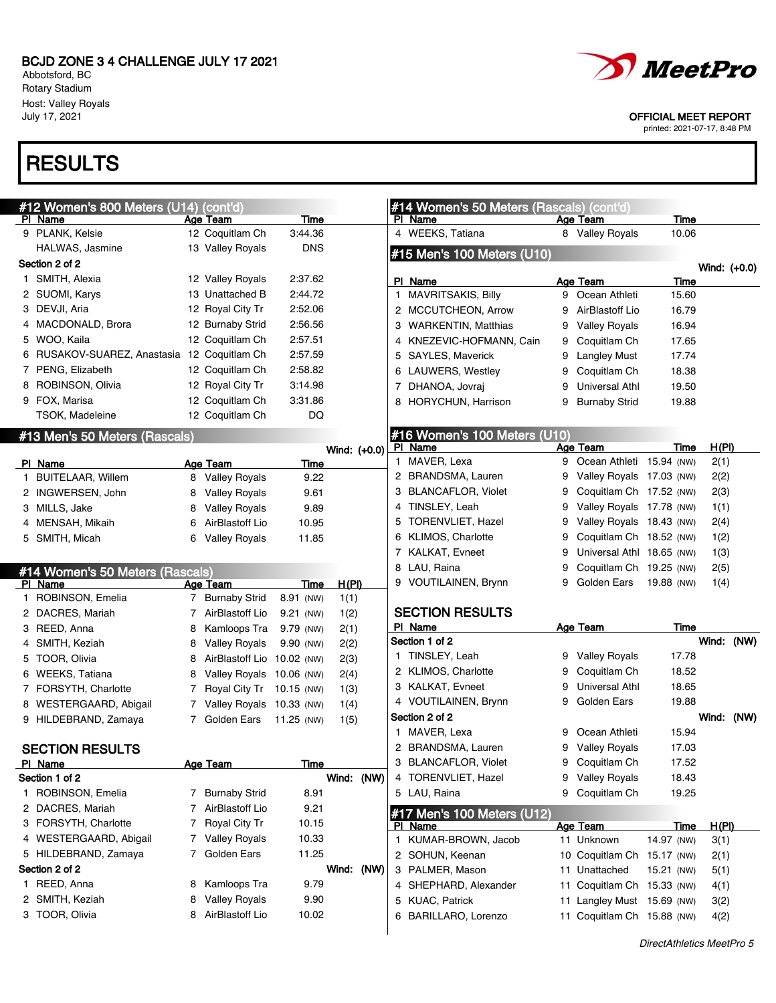Abbotsford, BC Rotary Stadium Host: Valley Royals

# **RESULTS**





July 17, 2021 OFFICIAL MEET REPORT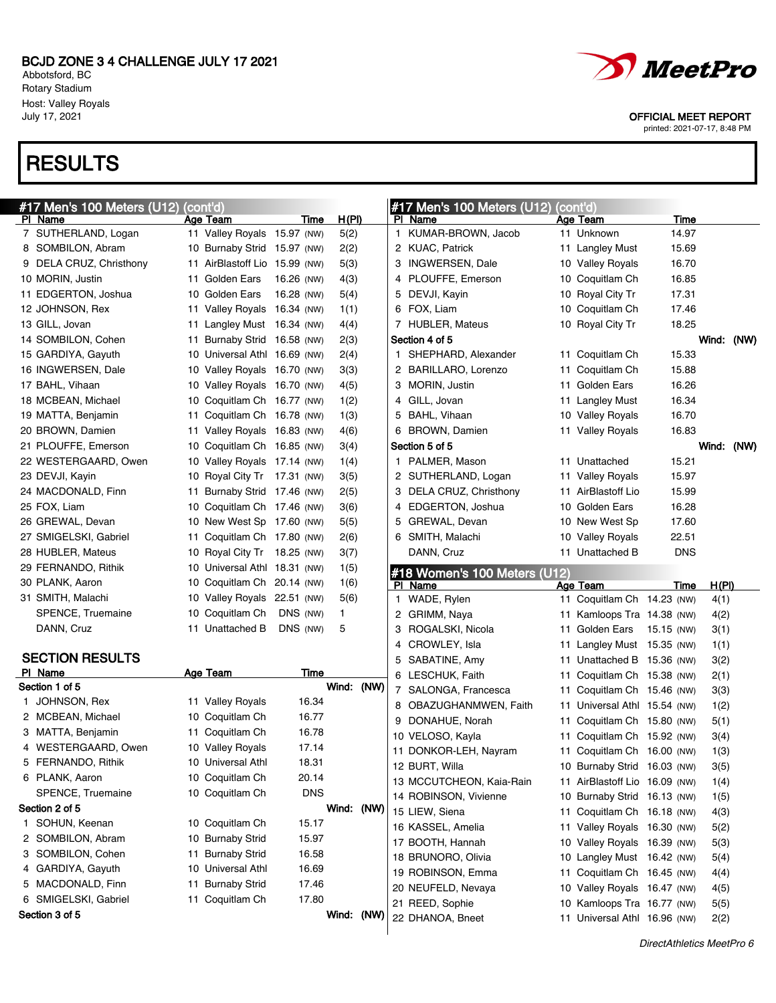Abbotsford, BC Rotary Stadium Host: Valley Royals<br>July 17, 2021

# **RESULTS**



OFFICIAL MEET REPORT

| #17 Men's 100 Meters (U12) (cont'd) |                               |            |            | $\#$ 17 Men's 100 Meters (U12)          | (cont'd)                                                   |            |                      |
|-------------------------------------|-------------------------------|------------|------------|-----------------------------------------|------------------------------------------------------------|------------|----------------------|
| PI Name                             | Age Team                      | Time       | H(PI)      | PI Name                                 | Age Team                                                   | Time       |                      |
| 7 SUTHERLAND, Logan                 | 11 Valley Royals 15.97 (NW)   |            | 5(2)       | 1 KUMAR-BROWN, Jacob                    | 11 Unknown                                                 | 14.97      |                      |
| 8 SOMBILON, Abram                   | 10 Burnaby Strid 15.97 (NW)   |            | 2(2)       | 2 KUAC, Patrick                         | 11 Langley Must                                            | 15.69      |                      |
| 9 DELA CRUZ, Christhony             | 11 AirBlastoff Lio 15.99 (NW) |            | 5(3)       | 3 INGWERSEN, Dale                       | 10 Valley Royals                                           | 16.70      |                      |
| 10 MORIN, Justin                    | 11 Golden Ears                | 16.26 (NW) | 4(3)       | 4 PLOUFFE, Emerson                      | 10 Coquitlam Ch                                            | 16.85      |                      |
| 11 EDGERTON, Joshua                 | 10 Golden Ears                | 16.28 (NW) | 5(4)       | 5 DEVJI, Kayin                          | 10 Royal City Tr                                           | 17.31      |                      |
| 12 JOHNSON, Rex                     | 11 Valley Royals 16.34 (NW)   |            | 1(1)       | 6 FOX, Liam                             | 10 Coquitlam Ch                                            | 17.46      |                      |
| 13 GILL, Jovan                      | 11 Langley Must 16.34 (NW)    |            | 4(4)       | 7 HUBLER, Mateus                        | 10 Royal City Tr                                           | 18.25      |                      |
| 14 SOMBILON, Cohen                  | 11 Burnaby Strid 16.58 (NW)   |            | 2(3)       | Section 4 of 5                          |                                                            |            | Wind: (NW)           |
| 15 GARDIYA, Gayuth                  | 10 Universal Athl 16.69 (NW)  |            | 2(4)       | 1 SHEPHARD, Alexander                   | 11 Coquitlam Ch                                            | 15.33      |                      |
| 16 INGWERSEN, Dale                  | 10 Valley Royals 16.70 (NW)   |            | 3(3)       | 2 BARILLARO, Lorenzo                    | 11 Coquitlam Ch                                            | 15.88      |                      |
| 17 BAHL, Vihaan                     | 10 Valley Royals 16.70 (NW)   |            | 4(5)       | 3 MORIN, Justin                         | 11 Golden Ears                                             | 16.26      |                      |
| 18 MCBEAN, Michael                  | 10 Coquitlam Ch 16.77 (NW)    |            | 1(2)       | 4 GILL, Jovan                           | 11 Langley Must                                            | 16.34      |                      |
| 19 MATTA, Benjamin                  | 11 Coquitlam Ch 16.78 (NW)    |            | 1(3)       | 5 BAHL, Vihaan                          | 10 Valley Royals                                           | 16.70      |                      |
| 20 BROWN, Damien                    | 11 Valley Royals 16.83 (NW)   |            | 4(6)       | 6 BROWN, Damien                         | 11 Valley Royals                                           | 16.83      |                      |
| 21 PLOUFFE, Emerson                 | 10 Coquitlam Ch 16.85 (NW)    |            | 3(4)       | Section 5 of 5                          |                                                            |            | Wind: (NW)           |
| 22 WESTERGAARD, Owen                | 10 Valley Royals 17.14 (NW)   |            | 1(4)       | 1 PALMER, Mason                         | 11 Unattached                                              | 15.21      |                      |
| 23 DEVJI, Kayin                     | 10 Royal City Tr 17.31 (NW)   |            | 3(5)       | 2 SUTHERLAND, Logan                     | 11 Valley Royals                                           | 15.97      |                      |
| 24 MACDONALD, Finn                  | 11 Burnaby Strid 17.46 (NW)   |            | 2(5)       | 3 DELA CRUZ, Christhony                 | 11 AirBlastoff Lio                                         | 15.99      |                      |
| 25 FOX, Liam                        | 10 Coquitlam Ch 17.46 (NW)    |            | 3(6)       | 4 EDGERTON, Joshua                      | 10 Golden Ears                                             | 16.28      |                      |
| 26 GREWAL, Devan                    | 10 New West Sp 17.60 (NW)     |            | 5(5)       | 5 GREWAL, Devan                         | 10 New West Sp                                             | 17.60      |                      |
| 27 SMIGELSKI, Gabriel               | 11 Coquitlam Ch 17.80 (NW)    |            | 2(6)       | 6 SMITH, Malachi                        | 10 Valley Royals                                           | 22.51      |                      |
| 28 HUBLER, Mateus                   | 10 Royal City Tr 18.25 (NW)   |            | 3(7)       | DANN, Cruz                              | 11 Unattached B                                            | <b>DNS</b> |                      |
| 29 FERNANDO, Rithik                 | 10 Universal Athl 18.31 (NW)  |            | 1(5)       |                                         |                                                            |            |                      |
|                                     |                               |            |            |                                         |                                                            |            |                      |
| 30 PLANK, Aaron                     | 10 Coquitlam Ch 20.14 (NW)    |            | 1(6)       | #18 Women's 100 Meters (U12)<br>PI Name | Age Team                                                   | Time       |                      |
| 31 SMITH, Malachi                   | 10 Valley Royals 22.51 (NW)   |            | 5(6)       | 1 WADE, Rylen                           | 11 Coquitlam Ch 14.23 (NW)                                 |            | <u>H(PI)</u><br>4(1) |
| SPENCE, Truemaine                   | 10 Coquitlam Ch               | DNS (NW)   | 1.         | 2 GRIMM, Naya                           | 11 Kamloops Tra 14.38 (NW)                                 |            | 4(2)                 |
| DANN, Cruz                          | 11 Unattached B               | DNS (NW)   | 5          | 3<br>ROGALSKI, Nicola                   | 11 Golden Ears                                             | 15.15 (NW) | 3(1)                 |
|                                     |                               |            |            | CROWLEY, Isla<br>4                      | 11 Langley Must 15.35 (NW)                                 |            | 1(1)                 |
| <b>SECTION RESULTS</b>              |                               |            |            | 5 SABATINE, Amy                         | 11 Unattached B 15.36 (NW)                                 |            | 3(2)                 |
| PI Name                             | <b>Age Team</b>               | Time       |            | 6 LESCHUK, Faith                        | 11 Coquitlam Ch 15.38 (NW)                                 |            | 2(1)                 |
| Section 1 of 5                      |                               |            | Wind: (NW) | 7 SALONGA, Francesca                    | 11 Coquitlam Ch 15.46 (NW)                                 |            | 3(3)                 |
| 1 JOHNSON, Rex                      | 11 Valley Royals              | 16.34      |            | 8 OBAZUGHANMWEN, Faith                  | 11 Universal Athl 15.54 (NW)                               |            | 1(2)                 |
| 2 MCBEAN, Michael                   | 10 Coquitlam Ch               | 16.77      |            | DONAHUE, Norah<br>9                     | 11 Coquitlam Ch 15.80 (NW)                                 |            | 5(1)                 |
| 3 MATTA, Benjamin                   | 11 Coquitlam Ch               | 16.78      |            | 10 VELOSO, Kayla                        | 11 Coquitlam Ch 15.92 (NW)                                 |            | 3(4)                 |
| WESTERGAARD, Owen                   | 10 Valley Royals              | 17.14      |            | 11 DONKOR-LEH, Nayram                   | 11 Coquitlam Ch 16.00 (NW)                                 |            | 1(3)                 |
| 5 FERNANDO, Rithik                  | 10 Universal Athl             | 18.31      |            | 12 BURT, Willa                          | 10 Burnaby Strid 16.03 (NW)                                |            |                      |
| 6 PLANK, Aaron                      | 10 Coquitlam Ch               | 20.14      |            | 13 MCCUTCHEON, Kaia-Rain                | 11 AirBlastoff Lio 16.09 (NW)                              |            | 3(5)<br>1(4)         |
| SPENCE, Truemaine                   | 10 Coquitlam Ch               | <b>DNS</b> |            | 14 ROBINSON, Vivienne                   | 10 Burnaby Strid 16.13 (NW)                                |            | 1(5)                 |
| Section 2 of 5                      |                               |            | Wind: (NW) |                                         | 11 Coquitlam Ch 16.18 (NW)                                 |            |                      |
| 1 SOHUN, Keenan                     | 10 Coquitlam Ch               | 15.17      |            | 15 LIEW, Siena<br>16 KASSEL, Amelia     | 11 Valley Royals 16.30 (NW)                                |            | 4(3)                 |
| 2 SOMBILON, Abram                   | 10 Burnaby Strid              | 15.97      |            | 17 BOOTH, Hannah                        | 10 Valley Royals 16.39 (NW)                                |            | 5(2)                 |
| 3 SOMBILON, Cohen                   | 11 Burnaby Strid              | 16.58      |            |                                         |                                                            |            | 5(3)                 |
| 4 GARDIYA, Gayuth                   | 10 Universal Athl             | 16.69      |            | 18 BRUNORO, Olivia                      | 10 Langley Must 16.42 (NW)<br>11 Coquitlam Ch 16.45 (NW)   |            | 5(4)                 |
| 5 MACDONALD, Finn                   | 11 Burnaby Strid              | 17.46      |            | 19 ROBINSON, Emma                       |                                                            |            | 4(4)                 |
| 6 SMIGELSKI, Gabriel                | 11 Coquitlam Ch               | 17.80      |            | 20 NEUFELD, Nevaya                      | 10 Valley Royals 16.47 (NW)                                |            | 4(5)                 |
| Section 3 of 5                      |                               |            | Wind: (NW) | 21 REED, Sophie<br>22 DHANOA, Bneet     | 10 Kamloops Tra 16.77 (NW)<br>11 Universal Athl 16.96 (NW) |            | 5(5)<br>2(2)         |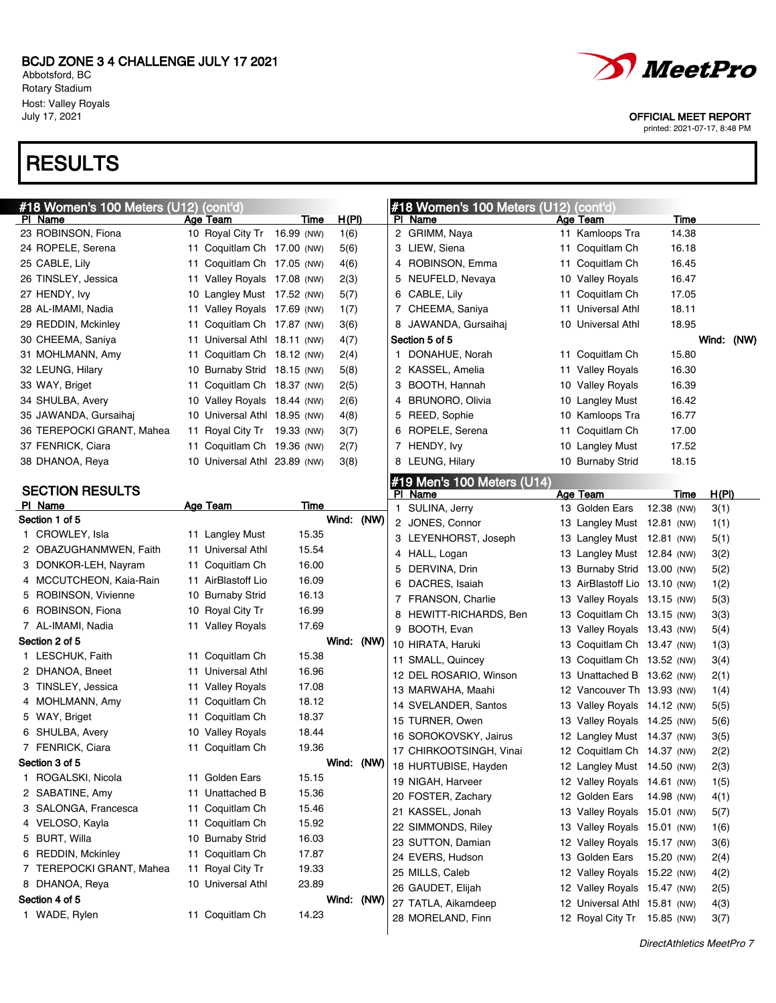Abbotsford, BC Rotary Stadium Host: Valley Royals<br>July 17, 2021

### **RESULTS**



OFFICIAL MEET REPORT

| #18 Women's 100 Meters (U12) | (cont'd)                     |       |              |            | #18 Women's 100 Meters (U12) (cont'd) |                               |            |            |
|------------------------------|------------------------------|-------|--------------|------------|---------------------------------------|-------------------------------|------------|------------|
| PI Name                      | Age Team                     | Time  | <u>H(PI)</u> |            | PI Name                               | Age Team                      | Time       |            |
| 23 ROBINSON, Fiona           | 10 Royal City Tr 16.99 (NW)  |       | 1(6)         |            | 2 GRIMM, Naya                         | 11 Kamloops Tra               | 14.38      |            |
| 24 ROPELE, Serena            | 11 Coquitlam Ch 17.00 (NW)   |       | 5(6)         |            | 3 LIEW, Siena                         | 11 Coquitlam Ch               | 16.18      |            |
| 25 CABLE, Lily               | 11 Coquitlam Ch 17.05 (NW)   |       | 4(6)         |            | 4 ROBINSON, Emma                      | 11 Coquitlam Ch               | 16.45      |            |
| 26 TINSLEY, Jessica          | 11 Valley Royals 17.08 (NW)  |       | 2(3)         |            | 5 NEUFELD, Nevaya                     | 10 Valley Royals              | 16.47      |            |
| 27 HENDY, Ivy                | 10 Langley Must 17.52 (NW)   |       | 5(7)         |            | 6 CABLE, Lily                         | 11 Coquitlam Ch               | 17.05      |            |
| 28 AL-IMAMI, Nadia           | 11 Valley Royals 17.69 (NW)  |       | 1(7)         |            | 7 CHEEMA, Saniya                      | 11 Universal Athl             | 18.11      |            |
| 29 REDDIN, Mckinley          | 11 Coquitlam Ch 17.87 (NW)   |       | 3(6)         |            | 8 JAWANDA, Gursaihaj                  | 10 Universal Athl             | 18.95      |            |
| 30 CHEEMA, Saniya            | 11 Universal Athl 18.11 (NW) |       | 4(7)         |            | Section 5 of 5                        |                               |            | Wind: (NW) |
| 31 MOHLMANN, Amy             | 11 Coquitlam Ch 18.12 (NW)   |       | 2(4)         |            | 1 DONAHUE, Norah                      | 11 Coquitlam Ch               | 15.80      |            |
| 32 LEUNG, Hilary             | 10 Burnaby Strid 18.15 (NW)  |       | 5(8)         |            | 2 KASSEL, Amelia                      | 11 Valley Royals              | 16.30      |            |
| 33 WAY, Briget               | 11 Coquitlam Ch 18.37 (NW)   |       | 2(5)         |            | 3 BOOTH, Hannah                       | 10 Valley Royals              | 16.39      |            |
| 34 SHULBA, Avery             | 10 Valley Royals 18.44 (NW)  |       | 2(6)         |            | 4 BRUNORO, Olivia                     | 10 Langley Must               | 16.42      |            |
| 35 JAWANDA, Gursaihaj        | 10 Universal Athl 18.95 (NW) |       | 4(8)         |            | 5 REED, Sophie                        | 10 Kamloops Tra               | 16.77      |            |
| 36 TEREPOCKI GRANT, Mahea    | 11 Royal City Tr 19.33 (NW)  |       | 3(7)         |            | 6 ROPELE, Serena                      | 11 Coquitlam Ch               | 17.00      |            |
| 37 FENRICK, Ciara            | 11 Coquitlam Ch 19.36 (NW)   |       | 2(7)         |            | 7 HENDY, Ivy                          | 10 Langley Must               | 17.52      |            |
| 38 DHANOA, Reya              | 10 Universal Athl 23.89 (NW) |       | 3(8)         |            | 8 LEUNG, Hilary                       | 10 Burnaby Strid              | 18.15      |            |
|                              |                              |       |              |            | #19 Men's 100 Meters (U14)            |                               |            |            |
| <b>SECTION RESULTS</b>       |                              |       |              |            | PI Name                               | Age Team                      | Time       | H(PI)      |
| PI Name                      | <b>Age Team</b>              | Time  |              |            | 1 SULINA, Jerry                       | 13 Golden Ears                | 12.38 (NW) | 3(1)       |
| Section 1 of 5               |                              |       | Wind: (NW)   |            | 2 JONES, Connor                       | 13 Langley Must 12.81 (NW)    |            | 1(1)       |
| 1 CROWLEY, Isla              | 11 Langley Must              | 15.35 |              |            | 3 LEYENHORST, Joseph                  | 13 Langley Must 12.81 (NW)    |            | 5(1)       |
| 2 OBAZUGHANMWEN, Faith       | 11 Universal Athl            | 15.54 |              |            | 4 HALL, Logan                         | 13 Langley Must 12.84 (NW)    |            | 3(2)       |
| 3 DONKOR-LEH, Nayram         | 11 Coquitlam Ch              | 16.00 |              |            | 5 DERVINA, Drin                       | 13 Burnaby Strid 13.00 (NW)   |            | 5(2)       |
| 4 MCCUTCHEON, Kaia-Rain      | 11 AirBlastoff Lio           | 16.09 |              |            | 6 DACRES, Isaiah                      | 13 AirBlastoff Lio 13.10 (NW) |            | 1(2)       |
| 5 ROBINSON, Vivienne         | 10 Burnaby Strid             | 16.13 |              |            | 7 FRANSON, Charlie                    | 13 Valley Royals 13.15 (NW)   |            | 5(3)       |
| 6 ROBINSON, Fiona            | 10 Royal City Tr             | 16.99 |              |            | 8 HEWITT-RICHARDS, Ben                | 13 Coquitlam Ch 13.15 (NW)    |            | 3(3)       |
| 7 AL-IMAMI, Nadia            | 11 Valley Royals             | 17.69 |              |            | 9 BOOTH, Evan                         | 13 Valley Royals 13.43 (NW)   |            | 5(4)       |
| Section 2 of 5               |                              |       | Wind: (NW)   |            | 10 HIRATA, Haruki                     | 13 Coquitlam Ch 13.47 (NW)    |            | 1(3)       |
| 1 LESCHUK, Faith             | 11 Coquitlam Ch              | 15.38 |              |            | 11 SMALL, Quincey                     | 13 Coquitlam Ch 13.52 (NW)    |            | 3(4)       |
| 2 DHANOA, Bneet              | 11 Universal Athl            | 16.96 |              |            | 12 DEL ROSARIO, Winson                | 13 Unattached B 13.62 (NW)    |            | 2(1)       |
| 3 TINSLEY, Jessica           | 11 Valley Royals             | 17.08 |              |            | 13 MARWAHA, Maahi                     | 12 Vancouver Th 13.93 (NW)    |            | 1(4)       |
| 4 MOHLMANN, Amy              | 11 Coquitlam Ch              | 18.12 |              |            | 14 SVELANDER, Santos                  | 13 Valley Royals 14.12 (NW)   |            | 5(5)       |
| 5 WAY, Briget                | 11 Coquitlam Ch              | 18.37 |              |            | 15 TURNER, Owen                       | 13 Valley Royals 14.25 (NW)   |            | 5(6)       |
| 6 SHULBA, Avery              | 10 Valley Royals             | 18.44 |              |            | 16 SOROKOVSKY, Jairus                 | 12 Langley Must 14.37 (NW)    |            | 3(5)       |
| 7 FENRICK, Ciara             | 11 Coquitlam Ch              | 19.36 |              |            | 17 CHIRKOOTSINGH, Vinai               | 12 Coquitlam Ch 14.37 (NW)    |            | 2(2)       |
| Section 3 of 5               |                              |       |              | Wind: (NW) | 18 HURTUBISE, Hayden                  | 12 Langley Must 14.50 (NW)    |            | 2(3)       |
| 1 ROGALSKI, Nicola           | 11 Golden Ears               | 15.15 |              |            | 19 NIGAH, Harveer                     | 12 Valley Royals 14.61 (NW)   |            | 1(5)       |
| 2 SABATINE, Amy              | 11 Unattached B              | 15.36 |              |            | 20 FOSTER, Zachary                    | 12 Golden Ears 14.98 (NW)     |            | 4(1)       |
| 3 SALONGA, Francesca         | 11 Coquitlam Ch              | 15.46 |              |            | 21 KASSEL, Jonah                      | 13 Valley Royals 15.01 (NW)   |            | 5(7)       |
| 4 VELOSO, Kayla              | 11 Coquitlam Ch              | 15.92 |              |            | 22 SIMMONDS, Riley                    | 13 Valley Royals 15.01 (NW)   |            | 1(6)       |
| 5 BURT, Willa                | 10 Burnaby Strid             | 16.03 |              |            | 23 SUTTON, Damian                     | 12 Valley Royals 15.17 (NW)   |            | 3(6)       |
| 6 REDDIN, Mckinley           | 11 Coquitlam Ch              | 17.87 |              |            | 24 EVERS, Hudson                      | 13 Golden Ears 15.20 (NW)     |            | 2(4)       |
| 7 TEREPOCKI GRANT, Mahea     | 11 Royal City Tr             | 19.33 |              |            | 25 MILLS, Caleb                       | 12 Valley Royals 15.22 (NW)   |            | 4(2)       |
| 8 DHANOA, Reya               | 10 Universal Athl            | 23.89 |              |            | 26 GAUDET, Elijah                     | 12 Valley Royals 15.47 (NW)   |            | 2(5)       |
| Section 4 of 5               |                              |       | Wind: (NW)   |            | 27 TATLA, Aikamdeep                   | 12 Universal Athl 15.81 (NW)  |            | 4(3)       |
| 1 WADE, Rylen                | 11 Coquitlam Ch              | 14.23 |              |            | 28 MORELAND, Finn                     | 12 Royal City Tr 15.85 (NW)   |            | 3(7)       |
|                              |                              |       |              |            |                                       |                               |            |            |
|                              |                              |       |              |            |                                       |                               |            |            |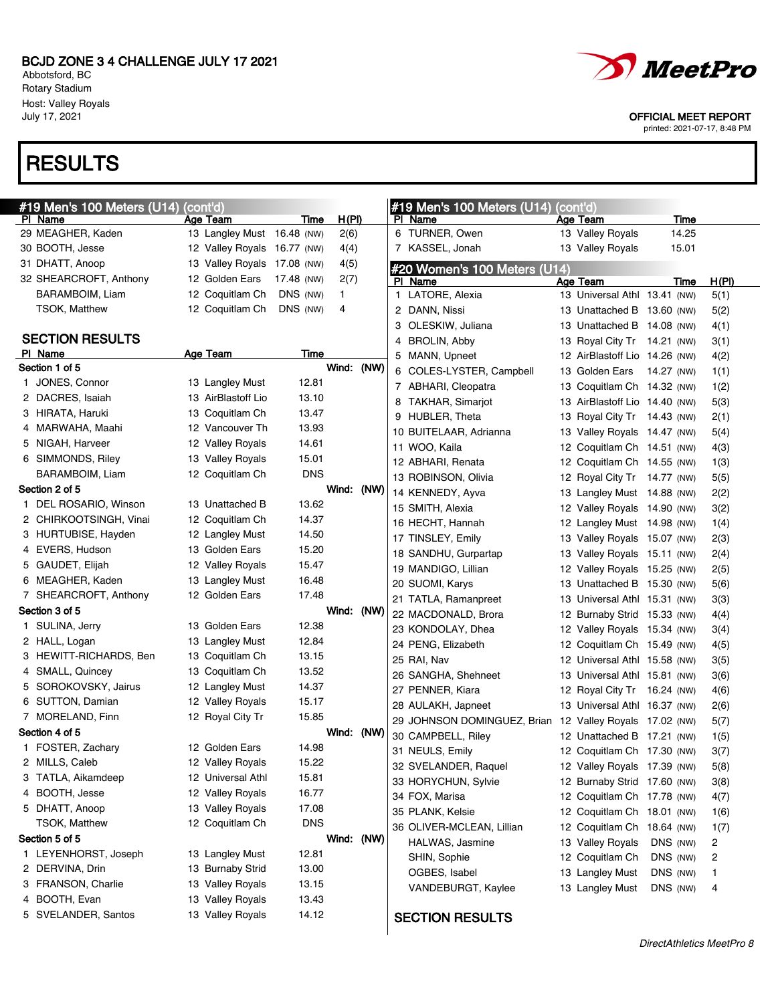Abbotsford, BC Rotary Stadium Host: Valley Royals<br>July 17, 2021

# **RESULTS**



OFFICIAL MEET REPORT

|   | #19 Men's 100 Meters (U14) (cont'd) |                             |            |            |  | #19 Men's 100 Meters (U14) (cont'd)                     |                               |          |       |
|---|-------------------------------------|-----------------------------|------------|------------|--|---------------------------------------------------------|-------------------------------|----------|-------|
|   | PI Name                             | <u>Age Team</u>             | Time       | H(PI)      |  | PI Name                                                 | Age Team                      | Time     |       |
|   | 29 MEAGHER, Kaden                   | 13 Langley Must 16.48 (NW)  |            | 2(6)       |  | 6 TURNER, Owen                                          | 13 Valley Royals              | 14.25    |       |
|   | 30 BOOTH, Jesse                     | 12 Valley Royals 16.77 (NW) |            | 4(4)       |  | 7 KASSEL, Jonah                                         | 13 Valley Royals              | 15.01    |       |
|   | 31 DHATT, Anoop                     | 13 Valley Royals 17.08 (NW) |            | 4(5)       |  | #20 Women's 100 Meters (U14)                            |                               |          |       |
|   | 32 SHEARCROFT, Anthony              | 12 Golden Ears              | 17.48 (NW) | 2(7)       |  | PI Name                                                 | Age Team                      | Time     | H(PI) |
|   | BARAMBOIM, Liam                     | 12 Coquitlam Ch             | DNS (NW)   | 1.         |  | 1 LATORE, Alexia                                        | 13 Universal Athl 13.41 (NW)  |          | 5(1)  |
|   | <b>TSOK, Matthew</b>                | 12 Coquitlam Ch             | DNS (NW)   | 4          |  | 2 DANN, Nissi                                           | 13 Unattached B 13.60 (NW)    |          | 5(2)  |
|   |                                     |                             |            |            |  | 3 OLESKIW, Juliana                                      | 13 Unattached B 14.08 (NW)    |          | 4(1)  |
|   | <b>SECTION RESULTS</b>              |                             |            |            |  | 4 BROLIN, Abby                                          | 13 Royal City Tr 14.21 (NW)   |          | 3(1)  |
|   | PI Name                             | <b>Age Team</b>             | Time       |            |  | 5 MANN, Upneet                                          | 12 AirBlastoff Lio 14.26 (NW) |          | 4(2)  |
|   | Section 1 of 5                      |                             |            | Wind: (NW) |  | 6 COLES-LYSTER, Campbell                                | 13 Golden Ears 14.27 (NW)     |          | 1(1)  |
|   | 1 JONES, Connor                     | 13 Langley Must             | 12.81      |            |  | 7 ABHARI, Cleopatra                                     | 13 Coquitlam Ch 14.32 (NW)    |          | 1(2)  |
|   | 2 DACRES, Isaiah                    | 13 AirBlastoff Lio          | 13.10      |            |  | 8 TAKHAR, Simarjot                                      | 13 AirBlastoff Lio 14.40 (NW) |          | 5(3)  |
|   | 3 HIRATA, Haruki                    | 13 Coquitlam Ch             | 13.47      |            |  | 9 HUBLER, Theta                                         | 13 Royal City Tr 14.43 (NW)   |          | 2(1)  |
|   | 4 MARWAHA, Maahi                    | 12 Vancouver Th             | 13.93      |            |  | 10 BUITELAAR, Adrianna                                  | 13 Valley Royals 14.47 (NW)   |          | 5(4)  |
|   | 5 NIGAH, Harveer                    | 12 Valley Royals            | 14.61      |            |  | 11 WOO, Kaila                                           | 12 Coquitlam Ch 14.51 (NW)    |          | 4(3)  |
|   | 6 SIMMONDS, Riley                   | 13 Valley Royals            | 15.01      |            |  | 12 ABHARI, Renata                                       | 12 Coquitlam Ch 14.55 (NW)    |          | 1(3)  |
|   | BARAMBOIM, Liam                     | 12 Coquitlam Ch             | <b>DNS</b> |            |  | 13 ROBINSON, Olivia                                     | 12 Royal City Tr 14.77 (NW)   |          | 5(5)  |
|   | Section 2 of 5                      |                             |            | Wind: (NW) |  | 14 KENNEDY, Ayva                                        | 13 Langley Must 14.88 (NW)    |          | 2(2)  |
|   | 1 DEL ROSARIO, Winson               | 13 Unattached B             | 13.62      |            |  | 15 SMITH, Alexia                                        | 12 Valley Royals 14.90 (NW)   |          | 3(2)  |
|   | 2 CHIRKOOTSINGH, Vinai              | 12 Coquitlam Ch             | 14.37      |            |  | 16 HECHT, Hannah                                        | 12 Langley Must 14.98 (NW)    |          | 1(4)  |
|   | 3 HURTUBISE, Hayden                 | 12 Langley Must             | 14.50      |            |  | 17 TINSLEY, Emily                                       | 13 Valley Royals 15.07 (NW)   |          | 2(3)  |
|   | 4 EVERS, Hudson                     | 13 Golden Ears              | 15.20      |            |  | 18 SANDHU, Gurpartap                                    | 13 Valley Royals 15.11 (NW)   |          | 2(4)  |
|   | 5 GAUDET, Elijah                    | 12 Valley Royals            | 15.47      |            |  | 19 MANDIGO, Lillian                                     | 12 Valley Royals 15.25 (NW)   |          | 2(5)  |
|   | 6 MEAGHER, Kaden                    | 13 Langley Must             | 16.48      |            |  | 20 SUOMI, Karys                                         | 13 Unattached B 15.30 (NW)    |          | 5(6)  |
|   | 7 SHEARCROFT, Anthony               | 12 Golden Ears              | 17.48      |            |  | 21 TATLA, Ramanpreet                                    | 13 Universal Athl 15.31 (NW)  |          | 3(3)  |
|   | Section 3 of 5                      |                             |            | Wind: (NW) |  | 22 MACDONALD, Brora                                     | 12 Burnaby Strid 15.33 (NW)   |          | 4(4)  |
|   | 1 SULINA, Jerry                     | 13 Golden Ears              | 12.38      |            |  | 23 KONDOLAY, Dhea                                       | 12 Valley Royals 15.34 (NW)   |          | 3(4)  |
|   | 2 HALL, Logan                       | 13 Langley Must             | 12.84      |            |  | 24 PENG, Elizabeth                                      | 12 Coquitlam Ch 15.49 (NW)    |          | 4(5)  |
|   | 3 HEWITT-RICHARDS, Ben              | 13 Coquitlam Ch             | 13.15      |            |  | 25 RAI, Nav                                             | 12 Universal Athl 15.58 (NW)  |          | 3(5)  |
|   | 4 SMALL, Quincey                    | 13 Coquitlam Ch             | 13.52      |            |  | 26 SANGHA, Shehneet                                     | 13 Universal Athl 15.81 (NW)  |          | 3(6)  |
|   | 5 SOROKOVSKY, Jairus                | 12 Langley Must             | 14.37      |            |  | 27 PENNER, Kiara                                        | 12 Royal City Tr 16.24 (NW)   |          | 4(6)  |
|   | 6 SUTTON, Damian                    | 12 Valley Royals            | 15.17      |            |  | 28 AULAKH, Japneet                                      | 13 Universal Athl 16.37 (NW)  |          | 2(6)  |
|   | 7 MORELAND, Finn                    | 12 Royal City Tr            | 15.85      |            |  | 29 JOHNSON DOMINGUEZ, Brian 12 Valley Royals 17.02 (NW) |                               |          | 5(7)  |
|   | Section 4 of 5                      |                             |            | Wind: (NW) |  | 30 CAMPBELL, Riley                                      | 12 Unattached B 17.21 (NW)    |          | 1(5)  |
|   | 1 FOSTER, Zachary                   | 12 Golden Ears              | 14.98      |            |  | 31 NEULS, Emily                                         | 12 Coquitlam Ch 17.30 (NW)    |          | 3(7)  |
|   | 2 MILLS, Caleb                      | 12 Valley Royals            | 15.22      |            |  | 32 SVELANDER, Raquel                                    | 12 Valley Royals 17.39 (NW)   |          | 5(8)  |
|   | 3 TATLA, Aikamdeep                  | 12 Universal Athl           | 15.81      |            |  | 33 HORYCHUN, Sylvie                                     | 12 Burnaby Strid 17.60 (NW)   |          | 3(8)  |
| 4 | BOOTH, Jesse                        | 12 Valley Royals            | 16.77      |            |  | 34 FOX, Marisa                                          | 12 Coquitlam Ch 17.78 (NW)    |          | 4(7)  |
|   | 5 DHATT, Anoop                      | 13 Valley Royals            | 17.08      |            |  | 35 PLANK, Kelsie                                        | 12 Coquitlam Ch 18.01 (NW)    |          | 1(6)  |
|   | <b>TSOK, Matthew</b>                | 12 Coquitlam Ch             | <b>DNS</b> |            |  | 36 OLIVER-MCLEAN, Lillian                               | 12 Coquitlam Ch 18.64 (NW)    |          | 1(7)  |
|   | Section 5 of 5                      |                             |            | Wind: (NW) |  | HALWAS, Jasmine                                         | 13 Valley Royals              | DNS (NW) | 2     |
|   | 1 LEYENHORST, Joseph                | 13 Langley Must             | 12.81      |            |  | SHIN, Sophie                                            | 12 Coquitlam Ch               | DNS (NW) | 2     |
|   | 2 DERVINA, Drin                     | 13 Burnaby Strid            | 13.00      |            |  | OGBES, Isabel                                           | 13 Langley Must               | DNS (NW) | 1     |
|   | 3 FRANSON, Charlie                  | 13 Valley Royals            | 13.15      |            |  | VANDEBURGT, Kaylee                                      | 13 Langley Must               | DNS (NW) | 4     |
|   | 4 BOOTH, Evan                       | 13 Valley Royals            | 13.43      |            |  |                                                         |                               |          |       |
|   | 5 SVELANDER, Santos                 | 13 Valley Royals            | 14.12      |            |  | <b>SECTION RESULTS</b>                                  |                               |          |       |
|   |                                     |                             |            |            |  |                                                         |                               |          |       |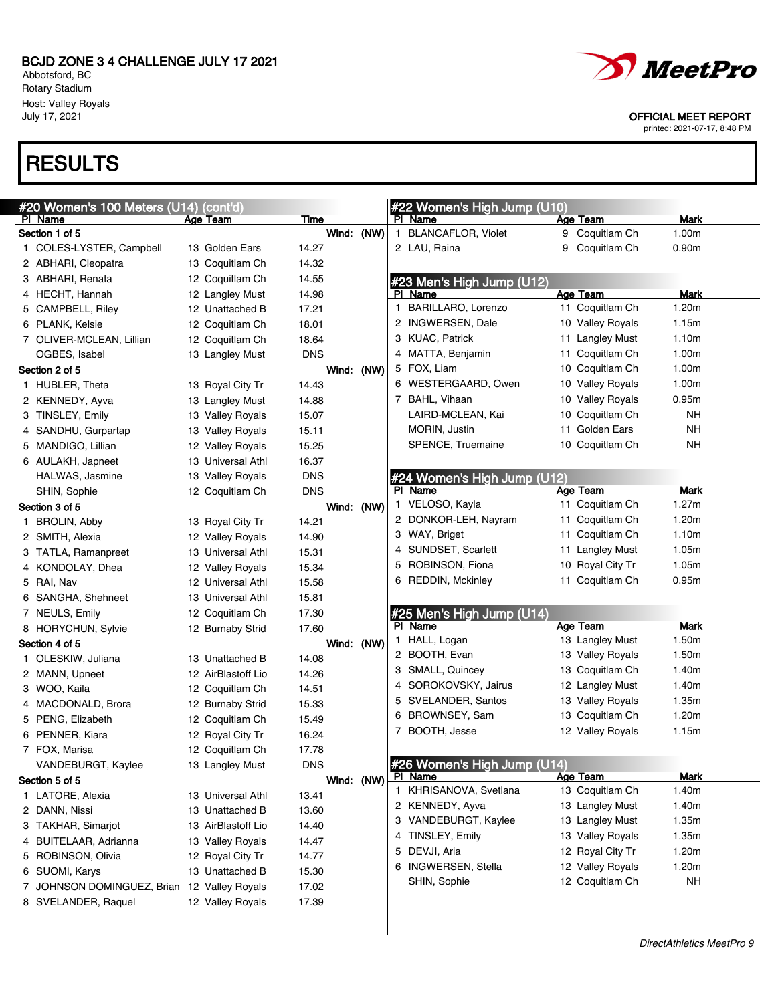Abbotsford, BC Rotary Stadium Host: Valley Royals<br>July 17, 2021

# **RESULTS**

| #20 Women's 100 Meters (U14) (cont'd)       |                    |            |            | #22 Women's High Jump (U10) |   |                  |                   |
|---------------------------------------------|--------------------|------------|------------|-----------------------------|---|------------------|-------------------|
| PI Name                                     | Age Team           | Time       |            | PI Name                     |   | Age Team         | Mark              |
| Section 1 of 5                              |                    |            | Wind: (NW) | 1 BLANCAFLOR, Violet        |   | 9 Coquitlam Ch   | 1.00m             |
| 1 COLES-LYSTER, Campbell                    | 13 Golden Ears     | 14.27      |            | 2 LAU, Raina                | 9 | Coquitlam Ch     | 0.90 <sub>m</sub> |
| 2 ABHARI, Cleopatra                         | 13 Coquitlam Ch    | 14.32      |            |                             |   |                  |                   |
| 3 ABHARI, Renata                            | 12 Coquitlam Ch    | 14.55      |            | #23 Men's High Jump (U12)   |   |                  |                   |
| 4 HECHT, Hannah                             | 12 Langley Must    | 14.98      |            | PI Name                     |   | Age Team         | Mark              |
| 5 CAMPBELL, Riley                           | 12 Unattached B    | 17.21      |            | 1 BARILLARO, Lorenzo        |   | 11 Coquitlam Ch  | 1.20m             |
| 6 PLANK, Kelsie                             | 12 Coquitlam Ch    | 18.01      |            | 2 INGWERSEN, Dale           |   | 10 Valley Royals | 1.15m             |
| 7 OLIVER-MCLEAN, Lillian                    | 12 Coquitlam Ch    | 18.64      |            | 3 KUAC, Patrick             |   | 11 Langley Must  | 1.10m             |
| OGBES, Isabel                               | 13 Langley Must    | <b>DNS</b> |            | 4 MATTA, Benjamin           |   | 11 Coquitlam Ch  | 1.00m             |
| Section 2 of 5                              |                    |            | Wind: (NW) | 5 FOX, Liam                 |   | 10 Coquitlam Ch  | 1.00m             |
| 1 HUBLER, Theta                             | 13 Royal City Tr   | 14.43      |            | 6 WESTERGAARD, Owen         |   | 10 Valley Royals | 1.00m             |
| 2 KENNEDY, Ayva                             | 13 Langley Must    | 14.88      |            | 7 BAHL, Vihaan              |   | 10 Valley Royals | 0.95m             |
| 3 TINSLEY, Emily                            | 13 Valley Royals   | 15.07      |            | LAIRD-MCLEAN, Kai           |   | 10 Coquitlam Ch  | NΗ                |
| 4 SANDHU, Gurpartap                         | 13 Valley Royals   | 15.11      |            | MORIN, Justin               |   | 11 Golden Ears   | NH                |
| 5 MANDIGO, Lillian                          | 12 Valley Royals   | 15.25      |            | SPENCE, Truemaine           |   | 10 Coquitlam Ch  | NΗ                |
| 6 AULAKH, Japneet                           | 13 Universal Athl  | 16.37      |            |                             |   |                  |                   |
| HALWAS, Jasmine                             | 13 Valley Royals   | <b>DNS</b> |            | #24 Women's High Jump (U12) |   |                  |                   |
| SHIN, Sophie                                | 12 Coquitlam Ch    | <b>DNS</b> |            | PI Name                     |   | Age Team         | Mark              |
| Section 3 of 5                              |                    |            | Wind: (NW) | 1 VELOSO, Kayla             |   | 11 Coquitlam Ch  | 1.27m             |
| 1 BROLIN, Abby                              | 13 Royal City Tr   | 14.21      |            | 2 DONKOR-LEH, Nayram        |   | 11 Coquitlam Ch  | 1.20m             |
| 2 SMITH, Alexia                             | 12 Valley Royals   | 14.90      |            | 3 WAY, Briget               |   | 11 Coquitlam Ch  | 1.10m             |
| 3 TATLA, Ramanpreet                         | 13 Universal Athl  | 15.31      |            | 4 SUNDSET, Scarlett         |   | 11 Langley Must  | 1.05m             |
| 4 KONDOLAY, Dhea                            | 12 Valley Royals   | 15.34      |            | 5 ROBINSON, Fiona           |   | 10 Royal City Tr | 1.05m             |
| 5 RAI, Nav                                  | 12 Universal Athl  | 15.58      |            | 6 REDDIN, Mckinley          |   | 11 Coquitlam Ch  | 0.95m             |
| 6 SANGHA, Shehneet                          | 13 Universal Athl  | 15.81      |            |                             |   |                  |                   |
| 7 NEULS, Emily                              | 12 Coquitlam Ch    | 17.30      |            | #25 Men's High Jump (U14)   |   |                  |                   |
| 8 HORYCHUN, Sylvie                          | 12 Burnaby Strid   | 17.60      |            | PI Name                     |   | <b>Age Team</b>  | Mark              |
| Section 4 of 5                              |                    |            | Wind: (NW) | 1 HALL, Logan               |   | 13 Langley Must  | 1.50m             |
| 1 OLESKIW, Juliana                          | 13 Unattached B    | 14.08      |            | 2 BOOTH, Evan               |   | 13 Valley Royals | 1.50m             |
| 2 MANN, Upneet                              | 12 AirBlastoff Lio | 14.26      |            | 3 SMALL, Quincey            |   | 13 Coquitlam Ch  | 1.40m             |
| 3 WOO, Kaila                                | 12 Coquitlam Ch    | 14.51      |            | 4 SOROKOVSKY, Jairus        |   | 12 Langley Must  | 1.40m             |
| 4 MACDONALD, Brora                          | 12 Burnaby Strid   | 15.33      |            | 5 SVELANDER, Santos         |   | 13 Valley Royals | 1.35m             |
| 5 PENG, Elizabeth                           | 12 Coquitlam Ch    | 15.49      |            | 6 BROWNSEY, Sam             |   | 13 Coquitlam Ch  | 1.20m             |
| 6 PENNER, Kiara                             | 12 Royal City Tr   | 16.24      |            | 7 BOOTH, Jesse              |   | 12 Valley Royals | 1.15m             |
| 7 FOX, Marisa                               | 12 Coquitlam Ch    | 17.78      |            |                             |   |                  |                   |
| VANDEBURGT, Kaylee                          | 13 Langley Must    | <b>DNS</b> |            | #26 Women's High Jump (U14) |   |                  |                   |
| Section 5 of 5                              |                    |            | Wind: (NW) | <b>PI Name</b>              |   | Age Team         | <b>Mark</b>       |
| 1 LATORE, Alexia                            | 13 Universal Athl  | 13.41      |            | 1 KHRISANOVA, Svetlana      |   | 13 Coquitlam Ch  | 1.40m             |
| 2 DANN, Nissi                               | 13 Unattached B    | 13.60      |            | 2 KENNEDY, Ayva             |   | 13 Langley Must  | 1.40m             |
| 3 TAKHAR, Simarjot                          | 13 AirBlastoff Lio | 14.40      |            | 3 VANDEBURGT, Kaylee        |   | 13 Langley Must  | 1.35m             |
| 4 BUITELAAR, Adrianna                       | 13 Valley Royals   | 14.47      |            | 4 TINSLEY, Emily            |   | 13 Valley Royals | 1.35m             |
| 5 ROBINSON, Olivia                          | 12 Royal City Tr   | 14.77      |            | 5 DEVJI, Aria               |   | 12 Royal City Tr | 1.20m             |
| 6 SUOMI, Karys                              | 13 Unattached B    | 15.30      |            | 6 INGWERSEN, Stella         |   | 12 Valley Royals | 1.20m             |
| 7 JOHNSON DOMINGUEZ, Brian 12 Valley Royals |                    | 17.02      |            | SHIN, Sophie                |   | 12 Coquitlam Ch  | <b>NH</b>         |
| 8 SVELANDER, Raquel                         | 12 Valley Royals   | 17.39      |            |                             |   |                  |                   |



#### OFFICIAL MEET REPORT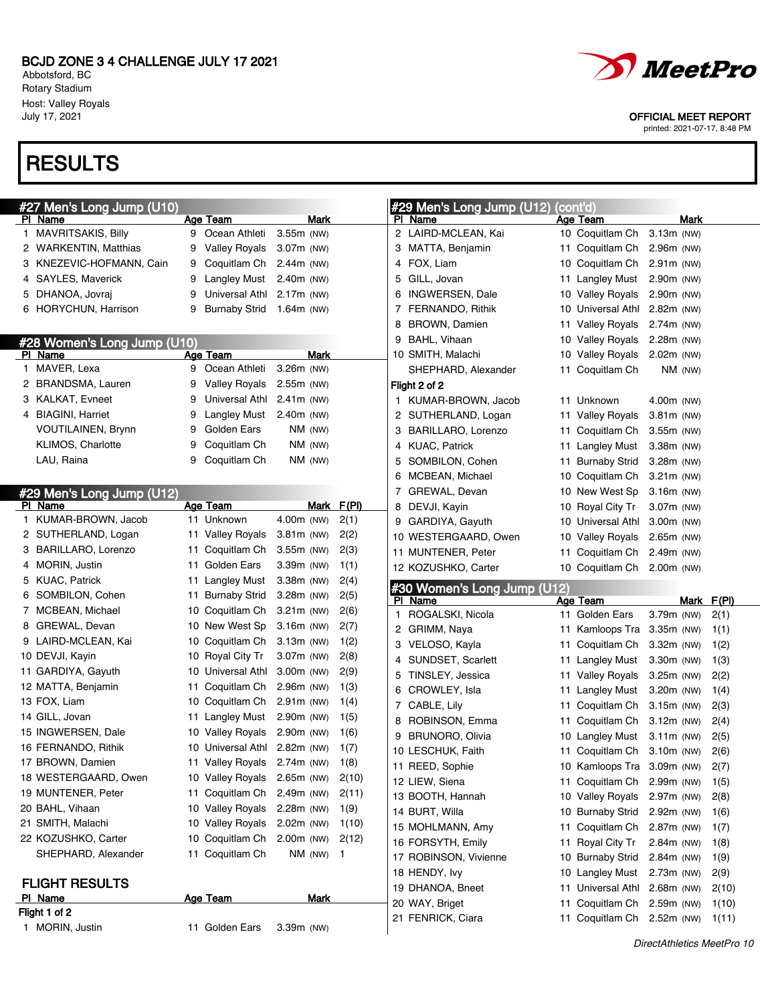Abbotsford, BC Rotary Stadium Host: Valley Royals<br>July 17, 2021

# **RESULTS**

| #27 Men's Long Jump (U10)   |    |                              |              |       |        | #29 Men's Long Jump (U12)              | (cont'd)                                                 |              |      |                |
|-----------------------------|----|------------------------------|--------------|-------|--------|----------------------------------------|----------------------------------------------------------|--------------|------|----------------|
| <u>PI Name</u>              |    | Age Team                     | Mark         |       |        | PI Name                                | Age Team                                                 |              | Mark |                |
| 1 MAVRITSAKIS, Billy        | 9  | Ocean Athleti                | 3.55m (NW)   |       |        | 2 LAIRD-MCLEAN, Kai                    | 10 Coquitlam Ch                                          | 3.13m (NW)   |      |                |
| 2 WARKENTIN, Matthias       | 9  | <b>Valley Royals</b>         | $3.07m$ (NW) |       |        | 3 MATTA, Benjamin                      | 11 Coquitlam Ch 2.96m (NW)                               |              |      |                |
| 3 KNEZEVIC-HOFMANN, Cain    | 9  | Coquitlam Ch 2.44m (NW)      |              |       |        | 4 FOX, Liam                            | 10 Coquitlam Ch 2.91m (NW)                               |              |      |                |
| 4 SAYLES, Maverick          | 9  | <b>Langley Must</b>          | $2.40m$ (NW) |       | 5.     | GILL, Jovan                            | 11 Langley Must 2.90m (NW)                               |              |      |                |
| 5 DHANOA, Jovraj            | 9  | Universal Athl               | 2.17m (NW)   |       | 6.     | INGWERSEN, Dale                        | 10 Valley Royals 2.90m (NW)                              |              |      |                |
| 6 HORYCHUN, Harrison        | 9  | <b>Burnaby Strid</b>         | 1.64m (NW)   |       |        | 7 FERNANDO, Rithik                     | 10 Universal Athl 2.82m (NW)                             |              |      |                |
|                             |    |                              |              |       | 8      | <b>BROWN, Damien</b>                   | 11 Valley Royals 2.74m (NW)                              |              |      |                |
| #28 Women's Long Jump (U10) |    |                              |              |       | 9      | BAHL, Vihaan                           | 10 Valley Royals 2.28m (NW)                              |              |      |                |
| <b>PI</b> Name              |    | <b>Age Team</b>              | Mark         |       |        | 10 SMITH, Malachi                      | 10 Valley Royals 2.02m (NW)                              |              |      |                |
| 1 MAVER, Lexa               | 9  | Ocean Athleti                | 3.26m (NW)   |       |        | SHEPHARD, Alexander                    | 11 Coquitlam Ch                                          | NM (NW)      |      |                |
| 2 BRANDSMA, Lauren          | 9  | Valley Royals                | $2.55m$ (NW) |       |        | Flight 2 of 2                          |                                                          |              |      |                |
| 3 KALKAT, Evneet            | 9  | Universal Athl               | $2.41m$ (NW) |       |        | 1 KUMAR-BROWN, Jacob                   | 11 Unknown                                               | 4.00m (NW)   |      |                |
| 4 BIAGINI, Harriet          | 9  | Langley Must                 | 2.40m (NW)   |       |        | 2 SUTHERLAND, Logan                    | 11 Valley Royals                                         | $3.81m$ (NW) |      |                |
| <b>VOUTILAINEN, Brynn</b>   | 9  | Golden Ears                  | $NM$ (NW)    |       |        | 3 BARILLARO, Lorenzo                   | 11 Coquitlam Ch                                          | 3.55m (NW)   |      |                |
| <b>KLIMOS, Charlotte</b>    | 9  | Coquitlam Ch                 | $NM$ (NW)    |       |        | 4 KUAC, Patrick                        | 11 Langley Must                                          | $3.38m$ (NW) |      |                |
| LAU, Raina                  | 9  | Coquitlam Ch                 | NM (NW)      |       | 5      | SOMBILON, Cohen                        | 11 Burnaby Strid                                         | $3.28m$ (NW) |      |                |
|                             |    |                              |              |       | 6      | MCBEAN, Michael                        | 10 Coquitlam Ch                                          | $3.21m$ (NW) |      |                |
| #29 Men's Long Jump (U12)   |    |                              |              |       |        | 7 GREWAL, Devan                        | 10 New West Sp                                           | $3.16m$ (NW) |      |                |
| PI Name                     |    | Age Team                     | Mark         | F(PI) |        | 8 DEVJI, Kayin                         | 10 Royal City Tr                                         | 3.07m (NW)   |      |                |
| 1 KUMAR-BROWN, Jacob        |    | 11 Unknown                   | 4.00m (NW)   | 2(1)  | 9      | GARDIYA, Gayuth                        | 10 Universal Athl 3.00m (NW)                             |              |      |                |
| 2 SUTHERLAND, Logan         | 11 | <b>Valley Royals</b>         | 3.81m (NW)   | 2(2)  |        | 10 WESTERGAARD, Owen                   | 10 Valley Royals 2.65m (NW)                              |              |      |                |
| 3 BARILLARO, Lorenzo        | 11 | Coquitlam Ch 3.55m (NW)      |              | 2(3)  |        | 11 MUNTENER, Peter                     | 11 Coquitlam Ch 2.49m (NW)                               |              |      |                |
| 4 MORIN, Justin             | 11 | Golden Ears                  | 3.39m (NW)   | 1(1)  |        | 12 KOZUSHKO, Carter                    | 10 Coquitlam Ch 2.00m (NW)                               |              |      |                |
| 5 KUAC, Patrick             | 11 | Langley Must                 | 3.38m (NW)   | 2(4)  |        |                                        |                                                          |              |      |                |
| 6 SOMBILON, Cohen           | 11 | <b>Burnaby Strid</b>         | 3.28m (NW)   | 2(5)  |        | #30 Women's Long Jump (U12)<br>PI Name | Age Team                                                 |              | Mark | F(PI)          |
| 7 MCBEAN, Michael           | 10 | Coquitlam Ch                 | $3.21m$ (NW) | 2(6)  |        | 1 ROGALSKI, Nicola                     | 11 Golden Ears                                           | 3.79m (NW)   |      | 2(1)           |
| 8 GREWAL, Devan             | 10 | New West Sp                  | $3.16m$ (NW) | 2(7)  |        | 2 GRIMM, Naya                          | 11 Kamloops Tra 3.35m (NW)                               |              |      | 1(1)           |
| 9 LAIRD-MCLEAN, Kai         | 10 | Coquitlam Ch                 | 3.13m (NW)   | 1(2)  |        | 3 VELOSO, Kayla                        | 11 Coquitlam Ch 3.32m (NW)                               |              |      | 1(2)           |
| 10 DEVJI, Kayin             | 10 | Royal City Tr                | 3.07m (NW)   | 2(8)  |        | 4 SUNDSET, Scarlett                    | 11 Langley Must                                          | 3.30m (NW)   |      | 1(3)           |
| 11 GARDIYA, Gayuth          | 10 | Universal Athl               | $3.00m$ (NW) | 2(9)  | 5.     | TINSLEY, Jessica                       | 11 Valley Royals                                         | $3.25m$ (NW) |      | 2(2)           |
| 12 MATTA, Benjamin          | 11 | Coquitlam Ch                 | 2.96m (NW)   | 1(3)  |        | 6 CROWLEY, Isla                        | 11 Langley Must                                          | 3.20m (NW)   |      | 1(4)           |
| 13 FOX, Liam                | 10 | Coquitlam Ch 2.91m (NW)      |              | 1(4)  |        | 7 CABLE, Lily                          | 11 Coquitlam Ch 3.15m (NW)                               |              |      | 2(3)           |
| 14 GILL, Jovan              |    |                              |              |       |        |                                        |                                                          |              |      | 2(4)           |
|                             | 11 | Langley Must                 | 2.90m (NW)   | 1(5)  |        |                                        |                                                          |              |      |                |
| 15 INGWERSEN, Dale          | 10 | <b>Valley Royals</b>         | 2.90m (NW)   | 1(6)  | 8<br>9 | ROBINSON, Emma                         | 11 Coquitlam Ch 3.12m (NW)                               |              |      |                |
| 16 FERNANDO, Rithik         |    | 10 Universal Athl 2.82m (NW) |              | 1(7)  |        | <b>BRUNORO, Olivia</b>                 | 10 Langley Must 3.11m (NW)                               |              |      | 2(5)           |
| 17 BROWN, Damien            |    | 11 Valley Royals 2.74m (NW)  |              | 1(8)  |        | 10 LESCHUK, Faith                      | 11 Coquitlam Ch 3.10m (NW)                               |              |      | 2(6)           |
| 18 WESTERGAARD, Owen        |    | 10 Valley Royals 2.65m (NW)  |              | 2(10) |        | 11 REED, Sophie                        | 10 Kamloops Tra 3.09m (NW)                               |              |      | 2(7)           |
| 19 MUNTENER, Peter          |    | 11 Coquitlam Ch 2.49m (NW)   |              | 2(11) |        | 12 LIEW, Siena                         | 11 Coquitlam Ch 2.99m (NW)                               |              |      | 1(5)           |
| 20 BAHL, Vihaan             |    | 10 Valley Royals 2.28m (NW)  |              | 1(9)  |        | 13 BOOTH, Hannah                       | 10 Valley Royals                                         | 2.97m (NW)   |      | 2(8)           |
| 21 SMITH, Malachi           |    | 10 Valley Royals 2.02m (NW)  |              | 1(10) |        | 14 BURT, Willa                         | 10 Burnaby Strid                                         | 2.92m (NW)   |      | 1(6)           |
| 22 KOZUSHKO, Carter         |    | 10 Coquitlam Ch 2.00m (NW)   |              | 2(12) |        | 15 MOHLMANN, Amy                       | 11 Coquitlam Ch                                          | 2.87m (NW)   |      | 1(7)           |
| SHEPHARD, Alexander         |    | 11 Coquitlam Ch              | $NM$ (NW) 1  |       |        | 16 FORSYTH, Emily                      | 11 Royal City Tr                                         | $2.84m$ (NW) |      | 1(8)           |
|                             |    |                              |              |       |        | 17 ROBINSON, Vivienne                  | 10 Burnaby Strid                                         | 2.84m (NW)   |      | 1(9)           |
| <b>FLIGHT RESULTS</b>       |    |                              |              |       |        | 18 HENDY, Ivy                          | 10 Langley Must                                          | 2.73m (NW)   |      | 2(9)           |
| PI Name                     |    | <b>Age Team</b>              | <b>Mark</b>  |       |        | 19 DHANOA, Bneet                       | 11 Universal Athl                                        | $2.68m$ (NW) |      | 2(10)          |
| Flight 1 of 2               |    |                              |              |       |        | 20 WAY, Briget<br>21 FENRICK, Ciara    | 11 Coquitlam Ch 2.59m (NW)<br>11 Coquitlam Ch 2.52m (NW) |              |      | 1(10)<br>1(11) |



OFFICIAL MEET REPORT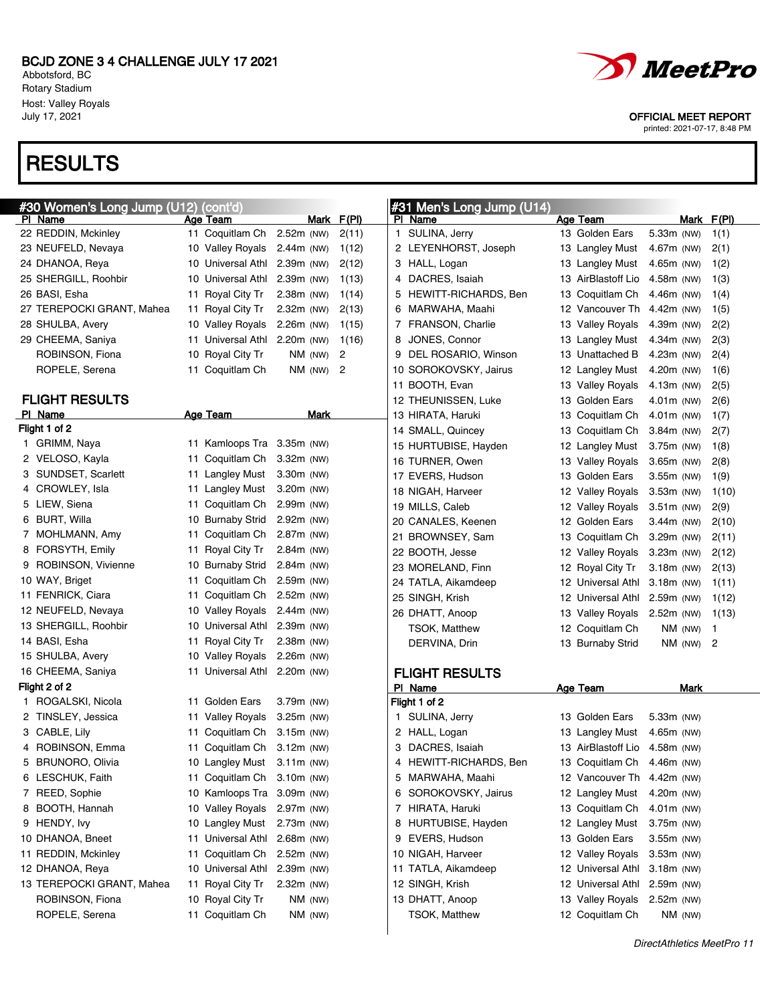Abbotsford, BC Rotary Stadium Host: Valley Royals

### **RESULTS**





July 17, 2021 OFFICIAL MEET REPORT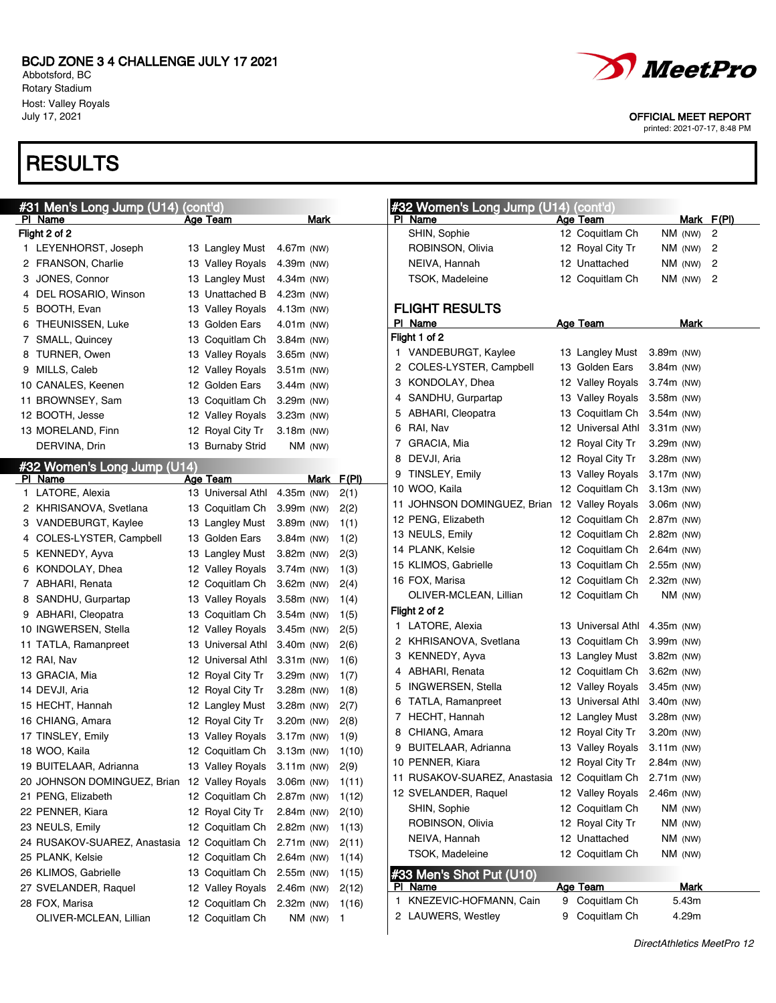LEYENHORST, Joseph 13 Langley Must 4.67m (NW) FRANSON, Charlie 13 Valley Royals 4.39m (NW) JONES, Connor 13 Langley Must 4.34m (NW) 4 DEL ROSARIO, Winson 13 Unattached B 4.23m (NW)

Abbotsford, BC Rotary Stadium Host: Valley Royals

### RESULTS

Flight 2 of 2



### #33 Men's Shot Put (U10)

| PI Name                  | Age Team       | Mark  |
|--------------------------|----------------|-------|
| 1 KNEZEVIC-HOFMANN, Cain | 9 Coquitlam Ch | 5.43m |
| 2 LAUWERS, Westley       | 9 Coquitlam Ch | 4.29m |

printed: 2021-07-17, 8:48 PM

DirectAthletics MeetPro 12

|                | 5 BOOTH, Evan                | 13 Valley Royals  | 4.13m (NW)   |      |       |
|----------------|------------------------------|-------------------|--------------|------|-------|
| 6              | <b>THEUNISSEN, Luke</b>      | 13 Golden Ears    | $4.01m$ (NW) |      |       |
| $\overline{7}$ | SMALL, Quincey               | 13 Coquitlam Ch   | $3.84m$ (NW) |      |       |
| 8              | <b>TURNER, Owen</b>          | 13 Valley Royals  | 3.65m (NW)   |      |       |
| 9              | MILLS, Caleb                 | 12 Valley Royals  | 3.51m (NW)   |      |       |
|                | 10 CANALES, Keenen           | 12 Golden Ears    | $3.44m$ (NW) |      |       |
|                | 11 BROWNSEY, Sam             | 13 Coquitlam Ch   | 3.29m (NW)   |      |       |
|                | 12 BOOTH, Jesse              | 12 Valley Royals  | $3.23m$ (NW) |      |       |
|                | 13 MORELAND, Finn            | 12 Royal City Tr  | $3.18m$ (NW) |      |       |
|                | DERVINA, Drin                | 13 Burnaby Strid  | NM (NW)      |      |       |
|                | #32 Women's Long Jump (U14)  |                   |              |      |       |
|                | PI Name                      | Age Team          |              | Mark | F(PI) |
|                | 1 LATORE, Alexia             | 13 Universal Athl | 4.35m (NW)   |      | 2(1)  |
|                | 2 KHRISANOVA, Svetlana       | 13 Coquitlam Ch   | 3.99m (NW)   |      | 2(2)  |
|                | 3 VANDEBURGT, Kaylee         | 13 Langley Must   | 3.89m (NW)   |      | 1(1)  |
| 4              | COLES-LYSTER, Campbell       | 13 Golden Ears    | $3.84m$ (NW) |      | 1(2)  |
| 5              | KENNEDY, Ayva                | 13 Langley Must   | 3.82m (NW)   |      | 2(3)  |
| 6              | KONDOLAY, Dhea               | 12 Valley Royals  | 3.74m (NW)   |      | 1(3)  |
|                | 7 ABHARI, Renata             | 12 Coquitlam Ch   | $3.62m$ (NW) |      | 2(4)  |
| 8              | SANDHU, Gurpartap            | 13 Valley Royals  | 3.58m (NW)   |      | 1(4)  |
|                | 9 ABHARI, Cleopatra          | 13 Coquitlam Ch   | $3.54m$ (NW) |      | 1(5)  |
|                | 10 INGWERSEN, Stella         | 12 Valley Royals  | 3.45m (NW)   |      | 2(5)  |
|                | 11 TATLA, Ramanpreet         | 13 Universal Athl | 3.40m (NW)   |      | 2(6)  |
|                | 12 RAI, Nav                  | 12 Universal Athl | $3.31m$ (NW) |      | 1(6)  |
|                | 13 GRACIA, Mia               | 12 Royal City Tr  | 3.29m (NW)   |      | 1(7)  |
|                | 14 DEVJI, Aria               | 12 Royal City Tr  | $3.28m$ (NW) |      | 1(8)  |
|                | 15 HECHT, Hannah             | 12 Langley Must   | $3.28m$ (NW) |      | 2(7)  |
|                | 16 CHIANG, Amara             | 12 Royal City Tr  | 3.20m (NW)   |      | 2(8)  |
|                | 17 TINSLEY, Emily            | 13 Valley Royals  | $3.17m$ (NW) |      | 1(9)  |
|                | 18 WOO, Kaila                | 12 Coquitlam Ch   | $3.13m$ (NW) |      | 1(10) |
|                | 19 BUITELAAR, Adrianna       | 13 Valley Royals  | $3.11m$ (NW) |      | 2(9)  |
|                | 20 JOHNSON DOMINGUEZ, Brian  | 12 Valley Royals  | 3.06m (NW)   |      | 1(11) |
|                | 21 PENG, Elizabeth           | 12 Coquitlam Ch   | 2.87m (NW)   |      | 1(12) |
|                | 22 PENNER, Kiara             | 12 Royal City Tr  | 2.84m (NW)   |      | 2(10) |
|                | 23 NEULS, Emily              | 12 Coquitlam Ch   | 2.82m (NW)   |      | 1(13) |
|                | 24 RUSAKOV-SUAREZ, Anastasia | 12 Coquitlam Ch   | 2.71m (NW)   |      | 2(11) |
|                | 25 PLANK, Kelsie             | 12 Coquitlam Ch   | $2.64m$ (NW) |      | 1(14) |
|                | 26 KLIMOS, Gabrielle         | 13 Coquitlam Ch   | 2.55m (NW)   |      | 1(15) |
|                | 27 SVELANDER, Raquel         | 12 Valley Royals  | 2.46m (NW)   |      | 2(12) |
|                | 28 FOX, Marisa               | 12 Coquitlam Ch   | 2.32m (NW)   |      | 1(16) |
|                | OLIVER-MCLEAN, Lillian       | 12 Coquitlam Ch   | NM (NW)      |      | 1     |

July 17, 2021 OFFICIAL MEET REPORT

#32 Women's Long Jump (U14) (cont'd)

SHIN, Sophie 12 Coquitlam Ch NM (NW) 2



Age Team Mark F(PI)

### #31 Men's Long Jump (U14) (cont'd) PI Name Mark Age Team Mark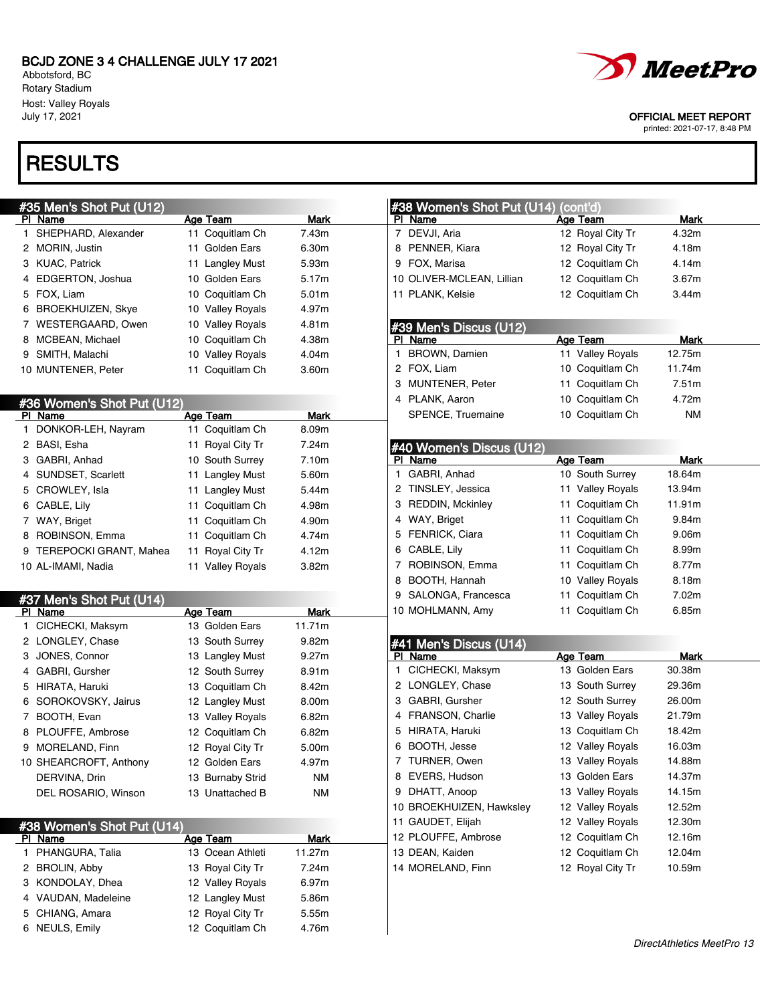Abbotsford, BC Rotary Stadium Host: Valley Royals<br>July 17, 2021

# **RESULTS**

|    | #35 Men's Shot Put (U12)            |                  |             | #38 Women's Shot Put (U14) (cont'd)                          |
|----|-------------------------------------|------------------|-------------|--------------------------------------------------------------|
|    | <u>PI Name</u>                      | Age Team         | Mark        | Mark<br>PI Name<br>Age Team                                  |
| 1. | SHEPHARD, Alexander                 | 11 Coquitlam Ch  | 7.43m       | 7 DEVJI, Aria<br>12 Royal City Tr<br>4.32m                   |
|    | 2 MORIN, Justin                     | 11 Golden Ears   | 6.30m       | 8 PENNER, Kiara<br>4.18m<br>12 Royal City Tr                 |
|    | 3 KUAC, Patrick                     | 11 Langley Must  | 5.93m       | 9 FOX, Marisa<br>12 Coquitlam Ch<br>4.14m                    |
|    | 4 EDGERTON, Joshua                  | 10 Golden Ears   | 5.17m       | 10 OLIVER-MCLEAN, Lillian<br>3.67m<br>12 Coquitlam Ch        |
|    | 5 FOX, Liam                         | 10 Coquitlam Ch  | 5.01m       | 11 PLANK, Kelsie<br>12 Coquitlam Ch<br>3.44m                 |
|    | 6 BROEKHUIZEN, Skye                 | 10 Valley Royals | 4.97m       |                                                              |
|    | 7 WESTERGAARD, Owen                 | 10 Valley Royals | 4.81m       | #39 Men's Discus (U12)                                       |
|    | 8 MCBEAN, Michael                   | 10 Coquitlam Ch  | 4.38m       | Age Team<br>PI Name<br>Mark                                  |
|    | 9 SMITH, Malachi                    | 10 Valley Royals | 4.04m       | <b>BROWN, Damien</b><br>11 Valley Royals<br>12.75m<br>1.     |
|    | 10 MUNTENER, Peter                  | 11 Coquitlam Ch  | 3.60m       | 2 FOX, Liam<br>10 Coquitlam Ch<br>11.74m                     |
|    |                                     |                  |             | 7.51m<br>3 MUNTENER, Peter<br>11 Coquitlam Ch                |
|    | #36 Women's Shot Put (U12)          |                  |             | 4 PLANK, Aaron<br>4.72m<br>10 Coquitlam Ch                   |
|    | PI Name                             | <b>Age Team</b>  | Mark        | SPENCE, Truemaine<br><b>NM</b><br>10 Coquitlam Ch            |
| 1  | DONKOR-LEH, Nayram                  | 11 Coquitlam Ch  | 8.09m       |                                                              |
|    | 2 BASI, Esha                        | 11 Royal City Tr | 7.24m       | #40 Women's Discus (U12)                                     |
|    | 3 GABRI, Anhad                      | 10 South Surrey  | 7.10m       | <b>Age Team</b><br>PI Name<br><b>Mark</b>                    |
|    | 4 SUNDSET, Scarlett                 | 11 Langley Must  | 5.60m       | GABRI, Anhad<br>18.64m<br>10 South Surrey<br>1               |
|    | 5 CROWLEY, Isla                     | 11 Langley Must  | 5.44m       | 13.94m<br>TINSLEY, Jessica<br>11 Valley Royals<br>2          |
|    | 6 CABLE, Lily                       | 11 Coquitlam Ch  | 4.98m       | 11.91m<br><b>REDDIN, Mckinley</b><br>Coquitlam Ch<br>3<br>11 |
|    | 7 WAY, Briget                       | 11 Coquitlam Ch  | 4.90m       | 9.84m<br>WAY, Briget<br>Coquitlam Ch<br>4<br>11              |
|    | 8 ROBINSON, Emma                    | 11 Coquitlam Ch  | 4.74m       | FENRICK, Ciara<br>9.06m<br>Coquitlam Ch<br>5<br>11           |
|    | 9 TEREPOCKI GRANT, Mahea            | 11 Royal City Tr | 4.12m       | 8.99m<br>CABLE, Lily<br>Coquitlam Ch<br>6<br>11              |
|    | 10 AL-IMAMI, Nadia                  | 11 Valley Royals | 3.82m       | ROBINSON, Emma<br>8.77m<br>Coquitlam Ch<br>7<br>11           |
|    |                                     |                  |             | 8.18m<br>8<br>BOOTH, Hannah<br>10 Valley Royals              |
|    |                                     |                  |             | 7.02m<br>9<br>SALONGA, Francesca<br>Coquitlam Ch<br>11       |
|    | #37 Men's Shot Put (U14)<br>PI Name | <b>Age Team</b>  | Mark        | 6.85m<br>10 MOHLMANN, Amy<br>11 Coquitlam Ch                 |
|    | 1 CICHECKI, Maksym                  | 13 Golden Ears   | 11.71m      |                                                              |
|    | 2 LONGLEY, Chase                    | 13 South Surrey  | 9.82m       | #41 Men's Discus (U14)                                       |
|    | 3 JONES, Connor                     | 13 Langley Must  | 9.27m       | PI Name<br><b>Age Team</b><br>Mark                           |
|    | 4 GABRI, Gursher                    | 12 South Surrey  | 8.91m       | 30.38m<br>CICHECKI, Maksym<br>13 Golden Ears<br>1.           |
|    | 5 HIRATA, Haruki                    | 13 Coquitlam Ch  | 8.42m       | 2 LONGLEY, Chase<br>29.36m<br>13 South Surrey                |
|    | 6 SOROKOVSKY, Jairus                | 12 Langley Must  | 8.00m       | 12 South Surrey<br>26.00m<br>GABRI, Gursher<br>3             |
|    | 7 BOOTH, Evan                       | 13 Valley Royals | 6.82m       | <b>FRANSON, Charlie</b><br>13 Valley Royals<br>21.79m<br>4   |
|    | 8 PLOUFFE, Ambrose                  | 12 Coquitlam Ch  | 6.82m       | HIRATA, Haruki<br>13 Coquitlam Ch<br>18.42m<br>5             |
|    | 9 MORELAND, Finn                    | 12 Royal City Tr | 5.00m       | BOOTH, Jesse<br>16.03m<br>12 Valley Royals<br>6              |
|    | 10 SHEARCROFT, Anthony              | 12 Golden Ears   | 4.97m       | 7 TURNER, Owen<br>13 Valley Royals<br>14.88m                 |
|    | DERVINA, Drin                       | 13 Burnaby Strid | ΝM          | 8 EVERS, Hudson<br>14.37m<br>13 Golden Ears                  |
|    | DEL ROSARIO, Winson                 | 13 Unattached B  | <b>NM</b>   | 9 DHATT, Anoop<br>13 Valley Royals<br>14.15m                 |
|    |                                     |                  |             | 10 BROEKHUIZEN, Hawksley<br>12.52m<br>12 Valley Royals       |
|    | #38 Women's Shot Put (U14)          |                  |             | 12.30m<br>11 GAUDET, Elijah<br>12 Valley Royals              |
|    | <u>PI Name</u>                      | Age Team         | <b>Mark</b> | 12 Coquitlam Ch<br>12.16m<br>12 PLOUFFE, Ambrose             |
|    | 1 PHANGURA, Talia                   | 13 Ocean Athleti | 11.27m      | 13 DEAN, Kaiden<br>12 Coquitlam Ch<br>12.04m                 |
|    | 2 BROLIN, Abby                      | 13 Royal City Tr | 7.24m       | 14 MORELAND, Finn<br>12 Royal City Tr<br>10.59m              |
|    | 3 KONDOLAY, Dhea                    | 12 Valley Royals | 6.97m       |                                                              |
|    | 4 VAUDAN, Madeleine                 | 12 Langley Must  | 5.86m       |                                                              |
|    | 5 CHIANG, Amara                     | 12 Royal City Tr | 5.55m       |                                                              |
|    | 6 NEULS, Emily                      | 12 Coquitlam Ch  | 4.76m       |                                                              |
|    |                                     |                  |             |                                                              |



#### OFFICIAL MEET REPORT